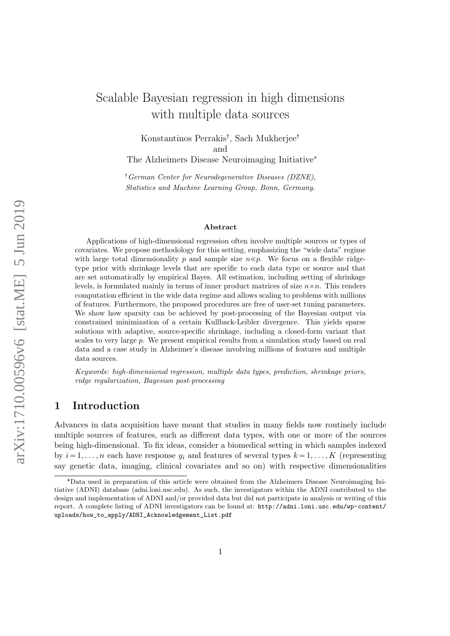# Scalable Bayesian regression in high dimensions with multiple data sources

Konstantinos Perrakis<sup>†</sup>, Sach Mukherjee<sup>†</sup> and The Alzheimers Disease Neuroimaging Initiative<sup>∗</sup>

:German Center for Neurodegenerative Diseases (DZNE), Statistics and Machine Learning Group, Bonn, Germany.

#### Abstract

Applications of high-dimensional regression often involve multiple sources or types of covariates. We propose methodology for this setting, emphasizing the "wide data" regime with large total dimensionality p and sample size  $n \ll p$ . We focus on a flexible ridgetype prior with shrinkage levels that are specific to each data type or source and that are set automatically by empirical Bayes. All estimation, including setting of shrinkage levels, is formulated mainly in terms of inner product matrices of size  $n \times n$ . This renders computation efficient in the wide data regime and allows scaling to problems with millions of features. Furthermore, the proposed procedures are free of user-set tuning parameters. We show how sparsity can be achieved by post-processing of the Bayesian output via constrained minimization of a certain Kullback-Leibler divergence. This yields sparse solutions with adaptive, source-specific shrinkage, including a closed-form variant that scales to very large  $p$ . We present empirical results from a simulation study based on real data and a case study in Alzheimer's disease involving millions of features and multiple data sources.

Keywords: high-dimensional regression, multiple data types, prediction, shrinkage priors, ridge regularization, Bayesian post-processing

## 1 Introduction

Advances in data acquisition have meant that studies in many fields now routinely include multiple sources of features, such as different data types, with one or more of the sources being high-dimensional. To fix ideas, consider a biomedical setting in which samples indexed by  $i = 1, \ldots, n$  each have response  $y_i$  and features of several types  $k = 1, \ldots, K$  (representing say genetic data, imaging, clinical covariates and so on) with respective dimensionalities

<sup>\*</sup>Data used in preparation of this article were obtained from the Alzheimers Disease Neuroimaging Initiative (ADNI) database (adni.loni.usc.edu). As such, the investigators within the ADNI contributed to the design and implementation of ADNI and/or provided data but did not participate in analysis or writing of this report. A complete listing of ADNI investigators can be found at: [http://adni.loni.usc.edu/wp-content/](http://adni.loni.usc.edu/wp-content/uploads/how_to_apply/ADNI_Acknowledgement_List.pdf) [uploads/how\\_to\\_apply/ADNI\\_Acknowledgement\\_List.pdf](http://adni.loni.usc.edu/wp-content/uploads/how_to_apply/ADNI_Acknowledgement_List.pdf)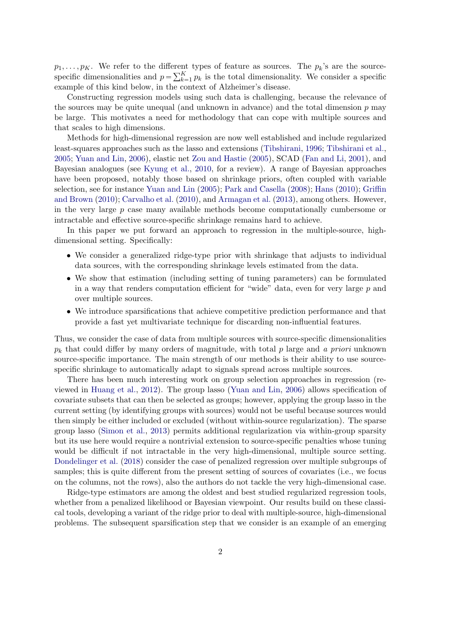$p_1, \ldots, p_K$ . We refer to the different types of feature as sources. The  $p_k$ 's are the source $p_1, \ldots, p_K$ . We reter to the different<br>specific dimensionalities and  $p = \sum_{k=1}^{K}$  $\sum_{k=1}^{K} p_k$  is the total dimensionality. We consider a specific example of this kind below, in the context of Alzheimer's disease.

Constructing regression models using such data is challenging, because the relevance of the sources may be quite unequal (and unknown in advance) and the total dimension  $p$  may be large. This motivates a need for methodology that can cope with multiple sources and that scales to high dimensions.

Methods for high-dimensional regression are now well established and include regularized least-squares approaches such as the lasso and extensions [\(Tibshirani,](#page-22-0) [1996;](#page-22-0) [Tibshirani et al.,](#page-22-1) [2005;](#page-22-1) [Yuan and Lin,](#page-22-2) [2006\)](#page-22-2), elastic net [Zou and Hastie](#page-23-0) [\(2005\)](#page-23-0), SCAD [\(Fan and Li,](#page-21-0) [2001\)](#page-21-0), and Bayesian analogues (see [Kyung et al.,](#page-22-3) [2010,](#page-22-3) for a review). A range of Bayesian approaches have been proposed, notably those based on shrinkage priors, often coupled with variable selection, see for instance [Yuan and Lin](#page-22-4) [\(2005\)](#page-22-4); [Park and Casella](#page-22-5) [\(2008\)](#page-22-5); [Hans](#page-21-1) [\(2010\)](#page-21-1); [Griffin](#page-21-2) [and Brown](#page-21-2) [\(2010\)](#page-21-2); [Carvalho et al.](#page-21-3) [\(2010\)](#page-21-3), and [Armagan et al.](#page-21-4) [\(2013\)](#page-21-4), among others. However, in the very large p case many available methods become computationally cumbersome or intractable and effective source-specific shrinkage remains hard to achieve.

In this paper we put forward an approach to regression in the multiple-source, highdimensional setting. Specifically:

- We consider a generalized ridge-type prior with shrinkage that adjusts to individual data sources, with the corresponding shrinkage levels estimated from the data.
- We show that estimation (including setting of tuning parameters) can be formulated in a way that renders computation efficient for "wide" data, even for very large  $p$  and over multiple sources.
- We introduce sparsifications that achieve competitive prediction performance and that provide a fast yet multivariate technique for discarding non-influential features.

Thus, we consider the case of data from multiple sources with source-specific dimensionalities  $p_k$  that could differ by many orders of magnitude, with total p large and a priori unknown source-specific importance. The main strength of our methods is their ability to use sourcespecific shrinkage to automatically adapt to signals spread across multiple sources.

There has been much interesting work on group selection approaches in regression (reviewed in [Huang et al.,](#page-22-6) [2012\)](#page-22-6). The group lasso [\(Yuan and Lin,](#page-22-2) [2006\)](#page-22-2) allows specification of covariate subsets that can then be selected as groups; however, applying the group lasso in the current setting (by identifying groups with sources) would not be useful because sources would then simply be either included or excluded (without within-source regularization). The sparse group lasso [\(Simon et al.,](#page-22-7) [2013\)](#page-22-7) permits additional regularization via within-group sparsity but its use here would require a nontrivial extension to source-specific penalties whose tuning would be difficult if not intractable in the very high-dimensional, multiple source setting. [Dondelinger et al.](#page-21-5) [\(2018\)](#page-21-5) consider the case of penalized regression over multiple subgroups of samples; this is quite different from the present setting of sources of covariates (i.e., we focus on the columns, not the rows), also the authors do not tackle the very high-dimensional case.

Ridge-type estimators are among the oldest and best studied regularized regression tools, whether from a penalized likelihood or Bayesian viewpoint. Our results build on these classical tools, developing a variant of the ridge prior to deal with multiple-source, high-dimensional problems. The subsequent sparsification step that we consider is an example of an emerging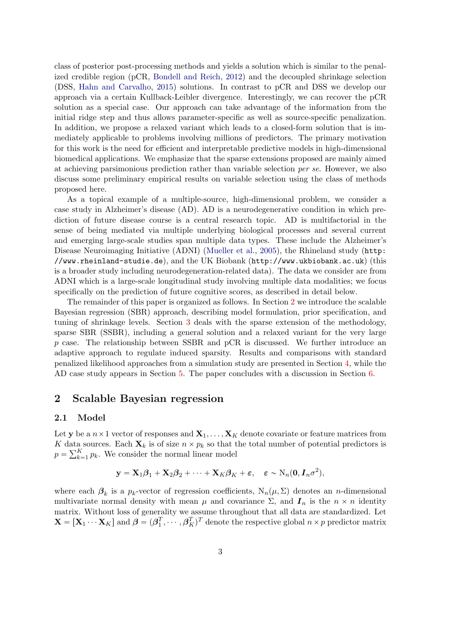class of posterior post-processing methods and yields a solution which is similar to the penalized credible region (pCR, [Bondell and Reich,](#page-21-6) [2012\)](#page-21-6) and the decoupled shrinkage selection (DSS, [Hahn and Carvalho,](#page-21-7) [2015\)](#page-21-7) solutions. In contrast to pCR and DSS we develop our approach via a certain Kullback-Leibler divergence. Interestingly, we can recover the pCR solution as a special case. Our approach can take advantage of the information from the initial ridge step and thus allows parameter-specific as well as source-specific penalization. In addition, we propose a relaxed variant which leads to a closed-form solution that is immediately applicable to problems involving millions of predictors. The primary motivation for this work is the need for efficient and interpretable predictive models in high-dimensional biomedical applications. We emphasize that the sparse extensions proposed are mainly aimed at achieving parsimonious prediction rather than variable selection per se. However, we also discuss some preliminary empirical results on variable selection using the class of methods proposed here.

As a topical example of a multiple-source, high-dimensional problem, we consider a case study in Alzheimer's disease (AD). AD is a neurodegenerative condition in which prediction of future disease course is a central research topic. AD is multifactorial in the sense of being mediated via multiple underlying biological processes and several current and emerging large-scale studies span multiple data types. These include the Alzheimer's Disease Neuroimaging Initiative (ADNI) [\(Mueller et al.,](#page-22-8) [2005\)](#page-22-8), the Rhineland study ([http:](http://www.rheinland-studie.de) [//www.rheinland-studie.de](http://www.rheinland-studie.de)), and the UK Biobank (<http://www.ukbiobank.ac.uk>) (this is a broader study including neurodegeneration-related data). The data we consider are from ADNI which is a large-scale longitudinal study involving multiple data modalities; we focus specifically on the prediction of future cognitive scores, as described in detail below.

The remainder of this paper is organized as follows. In Section [2](#page-2-0) we introduce the scalable Bayesian regression (SBR) approach, describing model formulation, prior specification, and tuning of shrinkage levels. Section [3](#page-6-0) deals with the sparse extension of the methodology, sparse SBR (SSBR), including a general solution and a relaxed variant for the very large p case. The relationship between SSBR and pCR is discussed. We further introduce an adaptive approach to regulate induced sparsity. Results and comparisons with standard penalized likelihood approaches from a simulation study are presented in Section [4,](#page-10-0) while the AD case study appears in Section [5.](#page-17-0) The paper concludes with a discussion in Section [6.](#page-19-0)

## <span id="page-2-0"></span>2 Scalable Bayesian regression

#### 2.1 Model

Let y be a  $n \times 1$  vector of responses and  $\mathbf{X}_1, \ldots, \mathbf{X}_K$  denote covariate or feature matrices from K data sources. Each  $\mathbf{X}_k$  is of size  $n \times p_k$  so that the total number of potential predictors is  $\begin{array}{l} K \, \, \mathrm{data} \ p = \sum_{k=1}^{K} \end{array}$  $_{k=1}^{K} p_k$ . We consider the normal linear model

$$
\mathbf{y} = \mathbf{X}_1 \boldsymbol{\beta}_1 + \mathbf{X}_2 \boldsymbol{\beta}_2 + \cdots + \mathbf{X}_K \boldsymbol{\beta}_K + \boldsymbol{\varepsilon}, \quad \boldsymbol{\varepsilon} \sim \mathrm{N}_n(\mathbf{0}, \mathbf{I}_n \sigma^2),
$$

where each  $\beta_k$  is a  $p_k$ -vector of regression coefficients,  $N_n(\mu, \Sigma)$  denotes an *n*-dimensional multivariate normal density with mean  $\mu$  and covariance  $\Sigma$ , and  $I_n$  is the  $n \times n$  identity matrix. Without loss of generality we assume throughout that all data are standardized. Let  $\mathbf{X} = [\mathbf{X}_1 \cdots \mathbf{X}_K]$  and  $\boldsymbol{\beta} = (\boldsymbol{\beta}_1^T, \cdots, \boldsymbol{\beta}_K^T)^T$  denote the respective global  $n \times p$  predictor matrix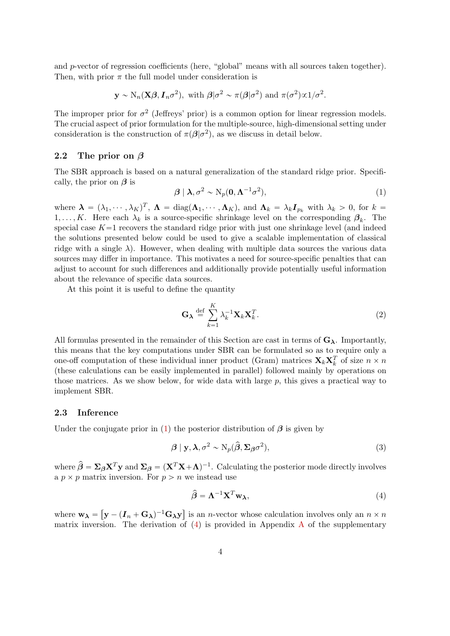and p-vector of regression coefficients (here, "global" means with all sources taken together). Then, with prior  $\pi$  the full model under consideration is

$$
\mathbf{y} \sim N_n(\mathbf{X}\boldsymbol{\beta}, \mathbf{I}_n \sigma^2)
$$
, with  $\boldsymbol{\beta} | \sigma^2 \sim \pi(\boldsymbol{\beta} | \sigma^2)$  and  $\pi(\sigma^2) \propto 1/\sigma^2$ .

The improper prior for  $\sigma^2$  (Jeffreys' prior) is a common option for linear regression models. The crucial aspect of prior formulation for the multiple-source, high-dimensional setting under consideration is the construction of  $\pi(\beta|\sigma^2)$ , as we discuss in detail below.

#### 2.2 The prior on  $\beta$

The SBR approach is based on a natural generalization of the standard ridge prior. Specifically, the prior on  $\beta$  is

<span id="page-3-0"></span>
$$
\beta \mid \lambda, \sigma^2 \sim N_p(\mathbf{0}, \mathbf{\Lambda}^{-1} \sigma^2), \tag{1}
$$

where  $\boldsymbol{\lambda} = (\lambda_1, \dots, \lambda_K)^T$ ,  $\boldsymbol{\Lambda} = \text{diag}(\boldsymbol{\Lambda}_1, \dots, \boldsymbol{\Lambda}_K)$ , and  $\boldsymbol{\Lambda}_k = \lambda_k \boldsymbol{I}_{p_k}$  with  $\lambda_k > 0$ , for  $k =$ 1,..., K. Here each  $\lambda_k$  is a source-specific shrinkage level on the corresponding  $\beta_k$ . The special case  $K=1$  recovers the standard ridge prior with just one shrinkage level (and indeed the solutions presented below could be used to give a scalable implementation of classical ridge with a single  $\lambda$ ). However, when dealing with multiple data sources the various data sources may differ in importance. This motivates a need for source-specific penalties that can adjust to account for such differences and additionally provide potentially useful information about the relevance of specific data sources.

At this point it is useful to define the quantity

$$
\mathbf{G}_{\lambda} \stackrel{\text{def}}{=} \sum_{k=1}^{K} \lambda_k^{-1} \mathbf{X}_k \mathbf{X}_k^T.
$$
 (2)

All formulas presented in the remainder of this Section are cast in terms of  $G_{\lambda}$ . Importantly, this means that the key computations under SBR can be formulated so as to require only a one-off computation of these individual inner product (Gram) matrices  $\mathbf{X}_k \mathbf{X}_k^T$  of size  $n \times n$ (these calculations can be easily implemented in parallel) followed mainly by operations on those matrices. As we show below, for wide data with large p, this gives a practical way to implement SBR.

#### 2.3 Inference

Under the conjugate prior in [\(1\)](#page-3-0) the posterior distribution of  $\beta$  is given by

$$
\beta \mid \mathbf{y}, \lambda, \sigma^2 \sim \mathrm{N}_p(\hat{\beta}, \Sigma_{\beta} \sigma^2), \tag{3}
$$

where  $\hat{\beta} = \Sigma_{\beta} X^T y$  and  $\Sigma_{\beta} = (X^T X + \Lambda)^{-1}$ . Calculating the posterior mode directly involves a  $p \times p$  matrix inversion. For  $p > n$  we instead use

<span id="page-3-1"></span>
$$
\hat{\beta} = \Lambda^{-1} \mathbf{X}^T \mathbf{w}_{\lambda},\tag{4}
$$

where  $w_{\lambda} =$ "  $(\bold{y} - (\boldsymbol{I}_n + \mathbf{G}_{\boldsymbol{\lambda}})^{-1} \mathbf{G}_{\boldsymbol{\lambda}} \bold{y})$ ‰ is an *n*-vector whose calculation involves only an  $n \times n$ matrix inversion. The derivation of  $(4)$  is provided in [A](#page-24-0)ppendix A of the supplementary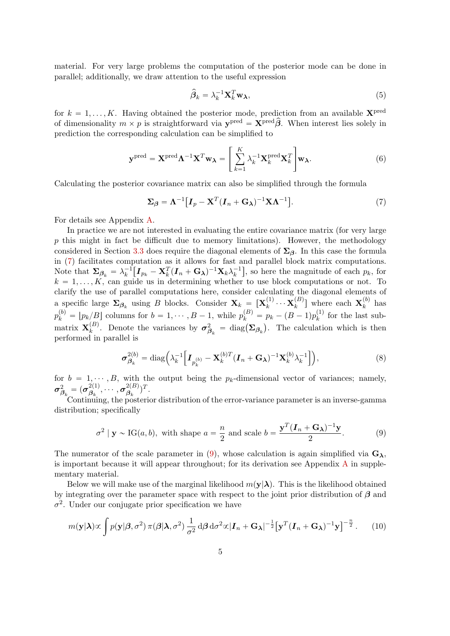material. For very large problems the computation of the posterior mode can be done in parallel; additionally, we draw attention to the useful expression

$$
\hat{\beta}_k = \lambda_k^{-1} \mathbf{X}_k^T \mathbf{w}_\lambda,\tag{5}
$$

for  $k = 1, \ldots, K$ . Having obtained the posterior mode, prediction from an available  $\mathbf{X}^{\text{pred}}$ of dimensionality  $m \times p$  is straightforward via  $\mathbf{y}^{\text{pred}} = \mathbf{X}^{\text{pred}} \hat{\boldsymbol{\beta}}$ . When interest lies solely in prediction the corresponding calculation can be simplified to

$$
\mathbf{y}^{\text{pred}} = \mathbf{X}^{\text{pred}} \boldsymbol{\Lambda}^{-1} \mathbf{X}^T \mathbf{w}_{\boldsymbol{\lambda}} = \left[ \sum_{k=1}^K \lambda_k^{-1} \mathbf{X}_k^{\text{pred}} \mathbf{X}_k^T \right] \mathbf{w}_{\boldsymbol{\lambda}}.
$$
 (6)

Calculating the posterior covariance matrix can also be simplified through the formula

<span id="page-4-0"></span>
$$
\Sigma_{\beta} = \Lambda^{-1} \big[ I_p - \mathbf{X}^T (I_n + \mathbf{G}_{\lambda})^{-1} \mathbf{X} \Lambda^{-1} \big]. \tag{7}
$$

For details see Appendix [A.](#page-24-0)

In practice we are not interested in evaluating the entire covariance matrix (for very large  $p$  this might in fact be difficult due to memory limitations). However, the methodology considered in Section [3.3](#page-8-0) does require the diagonal elements of  $\Sigma_{\beta}$ . In this case the formula in [\(7\)](#page-4-0) facilitates computation as it allows for fast and parallel block matrix computations. Note that  $\Sigma_{\beta_k} = \lambda_k^{-1} \big[ I_{p_k} - \mathbf{X}_k^T (I_n + \mathbf{G}_{\boldsymbol{\lambda}})^{-1} \mathbf{X}_k \lambda_k^{-1} \big],$  so here the magnitude of each  $p_k$ , for  $k = 1, \ldots, K$ , can guide us in determining whether to use block computations or not. To clarify the use of parallel computations here, consider calculating the diagonal elements of a specific large  $\Sigma_{\beta_k}$  using B blocks. Consider  $\mathbf{X}_k = [\mathbf{X}_k^{(1)}]$  $\mathbf{x}_k^{(1)} \cdots \mathbf{X}_k^{(B)}$  $\binom{B}{k}$  where each  $\mathbf{X}_k^{(b)}$  $\kappa^{(0)}$  has  $p_k^{(b)} = [p_k/B]$  columns for  $b = 1, \dots, B - 1$ , while  $p_k^{(B)} = p_k - (B - 1)p_k^{(1)}$  $k^{(1)}$  for the last submatrix  $\mathbf{X}_k^{(B)}$ (B). Denote the variances by  $\sigma_{\beta_k}^2 = \text{diag}(\Sigma_{\beta_k})$  $\overline{a}$ . The calculation which is then performed in parallel is

<span id="page-4-3"></span>
$$
\sigma_{\beta_k}^{2(b)} = \text{diag}\Big(\lambda_k^{-1} \Big[ \boldsymbol{I}_{p_k^{(b)}} - \mathbf{X}_k^{(b)T} (\boldsymbol{I}_n + \mathbf{G}_{\boldsymbol{\lambda}})^{-1} \mathbf{X}_k^{(b)} \lambda_k^{-1} \Big] \Big), \tag{8}
$$

for  $b = 1, \dots, B$ , with the output being the  $p_k$ -dimensional vector of variances; namely,  $\boldsymbol{\sigma}_{\boldsymbol{\beta}_k}^2 = (\boldsymbol{\sigma}_{\boldsymbol{\beta}_k}^{2(1)})$  $\overset{2(1)}{{\beta_k}}, \cdots, \overset{2(B)}{{\sigma_{\beta_k}}^2}$  $\frac{2(B)}{\beta_k}$ )<sup>T</sup>.

Continuing, the posterior distribution of the error-variance parameter is an inverse-gamma distribution; specifically

<span id="page-4-1"></span>
$$
\sigma^2 \mid \mathbf{y} \sim \text{IG}(a, b), \text{ with shape } a = \frac{n}{2} \text{ and scale } b = \frac{\mathbf{y}^T (\mathbf{I}_n + \mathbf{G}_\lambda)^{-1} \mathbf{y}}{2}.
$$
 (9)

The numerator of the scale parameter in [\(9\)](#page-4-1), whose calculation is again simplified via  $G_{\lambda}$ , is important because it will appear throughout; for its derivation see [A](#page-24-0)ppendix  $A$  in supplementary material.

Below we will make use of the marginal likelihood  $m(\mathbf{v}|\lambda)$ . This is the likelihood obtained by integrating over the parameter space with respect to the joint prior distribution of  $\beta$  and  $\sigma^2$ . Under our conjugate prior specification we have

<span id="page-4-2"></span>
$$
m(\mathbf{y}|\boldsymbol{\lambda}) \propto \int p(\mathbf{y}|\boldsymbol{\beta}, \sigma^2) \,\pi(\boldsymbol{\beta}|\boldsymbol{\lambda}, \sigma^2) \frac{1}{\sigma^2} \,\mathrm{d}\boldsymbol{\beta} \,\mathrm{d}\sigma^2 \propto |\boldsymbol{I}_n + \mathbf{G}_{\boldsymbol{\lambda}}|^{-\frac{1}{2}} \big[\mathbf{y}^T (\boldsymbol{I}_n + \mathbf{G}_{\boldsymbol{\lambda}})^{-1} \mathbf{y}\big]^{-\frac{n}{2}}.
$$
 (10)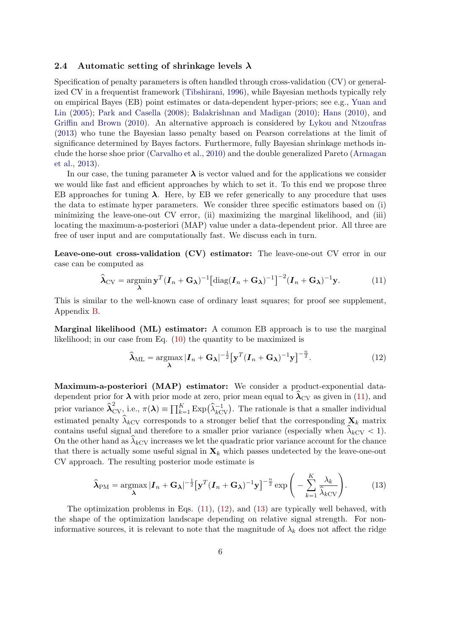#### <span id="page-5-3"></span>2.4 Automatic setting of shrinkage levels  $\lambda$

Specification of penalty parameters is often handled through cross-validation (CV) or generalized CV in a frequentist framework [\(Tibshirani,](#page-22-0) [1996\)](#page-22-0), while Bayesian methods typically rely on empirical Bayes (EB) point estimates or data-dependent hyper-priors; see e.g., [Yuan and](#page-22-4) [Lin](#page-22-4) [\(2005\)](#page-22-4); [Park and Casella](#page-22-5) [\(2008\)](#page-22-5); [Balakrishnan and Madigan](#page-21-8) [\(2010\)](#page-21-8); [Hans](#page-21-1) [\(2010\)](#page-21-1), and [Griffin and Brown](#page-21-2) [\(2010\)](#page-21-2). An alternative approach is considered by [Lykou and Ntzoufras](#page-22-9) [\(2013\)](#page-22-9) who tune the Bayesian lasso penalty based on Pearson correlations at the limit of significance determined by Bayes factors. Furthermore, fully Bayesian shrinkage methods include the horse shoe prior [\(Carvalho et al.,](#page-21-3) [2010\)](#page-21-3) and the double generalized Pareto [\(Armagan](#page-21-4) [et al.,](#page-21-4) [2013\)](#page-21-4).

In our case, the tuning parameter  $\lambda$  is vector valued and for the applications we consider we would like fast and efficient approaches by which to set it. To this end we propose three EB approaches for tuning  $\lambda$ . Here, by EB we refer generically to any procedure that uses the data to estimate hyper parameters. We consider three specific estimators based on (i) minimizing the leave-one-out CV error, (ii) maximizing the marginal likelihood, and (iii) locating the maximum-a-posteriori (MAP) value under a data-dependent prior. All three are free of user input and are computationally fast. We discuss each in turn.

Leave-one-out cross-validation (CV) estimator: The leave-one-out CV error in our case can be computed as

<span id="page-5-0"></span>
$$
\widehat{\boldsymbol{\lambda}}_{CV} = \underset{\boldsymbol{\lambda}}{\operatorname{argmin}} \mathbf{y}^T (\boldsymbol{I}_n + \mathbf{G}_{\boldsymbol{\lambda}})^{-1} \left[ \operatorname{diag}(\boldsymbol{I}_n + \mathbf{G}_{\boldsymbol{\lambda}})^{-1} \right]^{-2} (\boldsymbol{I}_n + \mathbf{G}_{\boldsymbol{\lambda}})^{-1} \mathbf{y}.
$$
 (11)

This is similar to the well-known case of ordinary least squares; for proof see supplement, Appendix [B.](#page-25-0)

Marginal likelihood (ML) estimator: A common EB approach is to use the marginal likelihood; in our case from Eq. [\(10\)](#page-4-2) the quantity to be maximized is

<span id="page-5-1"></span>
$$
\widehat{\lambda}_{\text{ML}} = \underset{\lambda}{\operatorname{argmax}} |\boldsymbol{I}_n + \mathbf{G}_{\lambda}|^{-\frac{1}{2}} \big[ \mathbf{y}^T (\boldsymbol{I}_n + \mathbf{G}_{\lambda})^{-1} \mathbf{y} \big]^{-\frac{n}{2}}.
$$
 (12)

Maximum-a-posteriori (MAP) estimator: We consider a product-exponential datadependent prior for  $\lambda$  with prior mode at zero, prior mean equal to  $\lambda_{\rm CV}$  as given in [\(11\)](#page-5-0), and dependent prior for  $\lambda$  with prior mode at zero, prior mean equal to  $\lambda_{CV}$  as given in (11), and<br>prior variance  $\hat{\lambda}_{CV}^2$  i.e.,  $\pi(\lambda) = \prod_{k=1}^K Exp(\hat{\lambda}_{kCV}^{-1})$ . The rationale is that a smaller individual estimated penalty  $\hat{\lambda}_{kCV}$  corresponds to a stronger belief that the corresponding  $\mathbf{X}_k$  matrix contains useful signal and therefore to a smaller prior variance (especially when  $\hat{\lambda}_{kCV} < 1$ ). On the other hand as  $\hat{\lambda}_{kCV}$  increases we let the quadratic prior variance account for the chance that there is actually some useful signal in  $\mathbf{X}_k$  which passes undetected by the leave-one-out CV approach. The resulting posterior mode estimate is

<span id="page-5-2"></span>
$$
\widehat{\boldsymbol{\lambda}}_{\text{PM}} = \underset{\boldsymbol{\lambda}}{\text{argmax}} |\boldsymbol{I}_n + \mathbf{G}_{\boldsymbol{\lambda}}|^{-\frac{1}{2}} [\mathbf{y}^T (\boldsymbol{I}_n + \mathbf{G}_{\boldsymbol{\lambda}})^{-1} \mathbf{y}]^{-\frac{n}{2}} \exp \left( - \sum_{k=1}^K \frac{\lambda_k}{\widehat{\lambda}_k} \right). \tag{13}
$$

The optimization problems in Eqs.  $(11)$ ,  $(12)$ , and  $(13)$  are typically well behaved, with the shape of the optimization landscape depending on relative signal strength. For noninformative sources, it is relevant to note that the magnitude of  $\lambda_k$  does not affect the ridge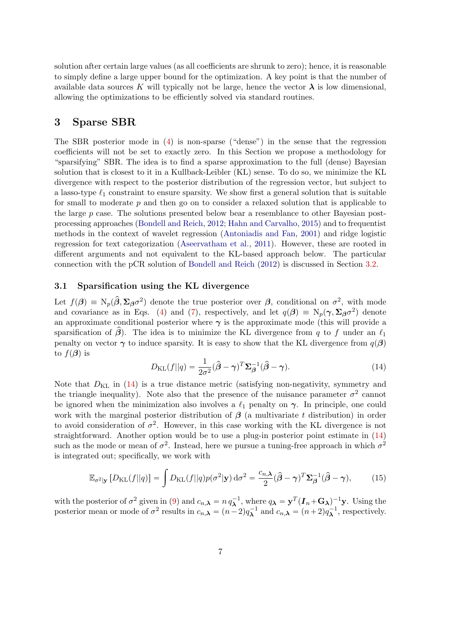solution after certain large values (as all coefficients are shrunk to zero); hence, it is reasonable to simply define a large upper bound for the optimization. A key point is that the number of available data sources K will typically not be large, hence the vector  $\lambda$  is low dimensional, allowing the optimizations to be efficiently solved via standard routines.

## <span id="page-6-0"></span>3 Sparse SBR

The SBR posterior mode in [\(4\)](#page-3-1) is non-sparse ("dense") in the sense that the regression coefficients will not be set to exactly zero. In this Section we propose a methodology for "sparsifying" SBR. The idea is to find a sparse approximation to the full (dense) Bayesian solution that is closest to it in a Kullback-Leibler (KL) sense. To do so, we minimize the KL divergence with respect to the posterior distribution of the regression vector, but subject to a lasso-type  $\ell_1$  constraint to ensure sparsity. We show first a general solution that is suitable for small to moderate  $p$  and then go on to consider a relaxed solution that is applicable to the large p case. The solutions presented below bear a resemblance to other Bayesian postprocessing approaches [\(Bondell and Reich,](#page-21-6) [2012;](#page-21-6) [Hahn and Carvalho,](#page-21-7) [2015\)](#page-21-7) and to frequentist methods in the context of wavelet regression [\(Antoniadis and Fan,](#page-21-9) [2001\)](#page-21-9) and ridge logistic regression for text categorization [\(Aseervatham et al.,](#page-21-10) [2011\)](#page-21-10). However, these are rooted in different arguments and not equivalent to the KL-based approach below. The particular connection with the pCR solution of [Bondell and Reich](#page-21-6) [\(2012\)](#page-21-6) is discussed in Section [3.2.](#page-7-0)

### 3.1 Sparsification using the KL divergence

Let  $f(\beta) \equiv N_p(\hat{\beta}, \Sigma_{\beta} \sigma^2)$  denote the true posterior over  $\beta$ , conditional on  $\sigma^2$ , with mode and covariance as in Eqs. [\(4\)](#page-3-1) and [\(7\)](#page-4-0), respectively, and let  $q(\boldsymbol{\beta}) \equiv N_p(\boldsymbol{\gamma}, \boldsymbol{\Sigma}_{\boldsymbol{\beta}} \sigma^2)$  denote an approximate conditional posterior where  $\gamma$  is the approximate mode (this will provide a sparsification of  $\beta$ ). The idea is to minimize the KL divergence from q to f under an  $\ell_1$ penalty on vector  $\gamma$  to induce sparsity. It is easy to show that the KL divergence from  $q(\beta)$ to  $f(\boldsymbol{\beta})$  is

<span id="page-6-1"></span>
$$
D_{\text{KL}}(f||q) = \frac{1}{2\sigma^2}(\hat{\beta} - \gamma)^T \Sigma_{\beta}^{-1}(\hat{\beta} - \gamma).
$$
 (14)

Note that  $D_{KL}$  in [\(14\)](#page-6-1) is a true distance metric (satisfying non-negativity, symmetry and the triangle inequality). Note also that the presence of the nuisance parameter  $\sigma^2$  cannot be ignored when the minimization also involves a  $\ell_1$  penalty on  $\gamma$ . In principle, one could work with the marginal posterior distribution of  $\beta$  (a multivariate t distribution) in order to avoid consideration of  $\sigma^2$ . However, in this case working with the KL divergence is not straightforward. Another option would be to use a plug-in posterior point estimate in [\(14\)](#page-6-1) such as the mode or mean of  $\sigma^2$ . Instead, here we pursue a tuning-free approach in which  $\sigma^2$ is integrated out; specifically, we work with

<span id="page-6-2"></span>
$$
\mathbb{E}_{\sigma^2|\mathbf{y}}\left[D_{\mathrm{KL}}(f||q)\right] = \int D_{\mathrm{KL}}(f||q)p(\sigma^2|\mathbf{y}) d\sigma^2 = \frac{c_{n,\lambda}}{2}(\hat{\boldsymbol{\beta}} - \boldsymbol{\gamma})^T \boldsymbol{\Sigma}_{\boldsymbol{\beta}}^{-1}(\hat{\boldsymbol{\beta}} - \boldsymbol{\gamma}),\tag{15}
$$

with the posterior of  $\sigma^2$  given in [\(9\)](#page-4-1) and  $c_{n,\lambda} = n q_\lambda^{-1}$ , where  $q_\lambda = \mathbf{y}^T (\mathbf{I}_n + \mathbf{G}_\lambda)^{-1} \mathbf{y}$ . Using the posterior mean or mode of  $\sigma^2$  results in  $c_{n,\lambda} = (n-2)q_{\lambda}^{-1}$  and  $c_{n,\lambda} = (n+2)q_{\lambda}^{-1}$ , respectively.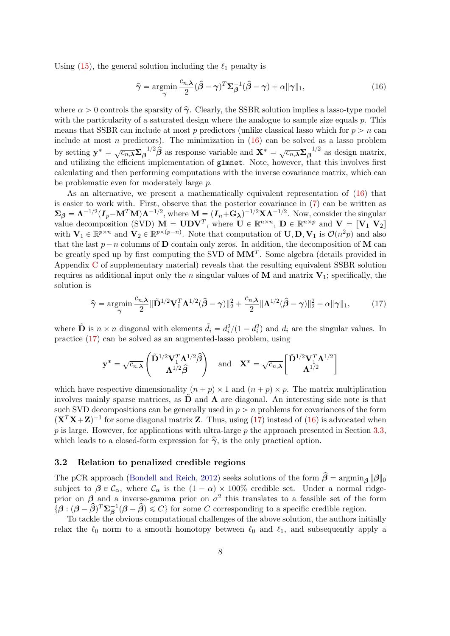Using  $(15)$ , the general solution including the  $\ell_1$  penalty is

<span id="page-7-1"></span>
$$
\hat{\gamma} = \underset{\gamma}{\text{argmin}} \frac{c_{n,\lambda}}{2} (\hat{\beta} - \gamma)^T \Sigma_{\beta}^{-1} (\hat{\beta} - \gamma) + \alpha ||\gamma||_1, \tag{16}
$$

where  $\alpha > 0$  controls the sparsity of  $\hat{\gamma}$ . Clearly, the SSBR solution implies a lasso-type model with the particularity of a saturated design where the analogue to sample size equals p. This means that SSBR can include at most p predictors (unlike classical lasso which for  $p > n$  can include at most n predictors). The minimization in  $(16)$  can be solved as a lasso problem by setting  $y^* = \sqrt{c_{n,\lambda}} \Sigma_{\beta}^{-1/2} \hat{\beta}$  as response variable and  $X^* = \sqrt{c_{n,\lambda}} \Sigma_{\beta}^{-1/2}$  $\overline{\beta}^{1/2}$  as design matrix, and utilizing the efficient implementation of glmnet. Note, however, that this involves first calculating and then performing computations with the inverse covariance matrix, which can be problematic even for moderately large p.

As an alternative, we present a mathematically equivalent representation of [\(16\)](#page-7-1) that is easier to work with. First, observe that the posterior covariance in [\(7\)](#page-4-0) can be written as  $\Sigma_{\beta} = \Lambda^{-1/2} (I_p - M^T M) \Lambda^{-1/2}$ , where  $M = (I_n + G_{\lambda})^{-1/2} X \Lambda^{-1/2}$ . Now, consider the singular value decomposition (SVD)  $\mathbf{M} = \mathbf{U} \mathbf{D} \mathbf{V}^T$ , where  $\mathbf{U} \in \mathbb{R}^{n \times n}$ ,  $\mathbf{D} \in \mathbb{R}^{n \times p}$  and  $\mathbf{V} = [\mathbf{V}_1 \ \mathbf{V}_2]$ with  $\mathbf{V}_1 \in \mathbb{R}^{p \times n}$  and  $\mathbf{V}_2 \in \mathbb{R}^{p \times (p-n)}$ . Note that computation of  $\mathbf{U}, \mathbf{D}, \mathbf{V}_1$  is  $\mathcal{O}(n^2p)$  and also that the last  $p - n$  columns of **D** contain only zeros. In addition, the decomposition of **M** can be greatly sped up by first computing the SVD of  $MM<sup>T</sup>$ . Some algebra (details provided in Appendix [C](#page-26-0) of supplementary material) reveals that the resulting equivalent SSBR solution requires as additional input only the n singular values of  $M$  and matrix  $V_1$ ; specifically, the solution is

$$
\widehat{\boldsymbol{\gamma}} = \underset{\boldsymbol{\gamma}}{\operatorname{argmin}} \frac{c_{n,\boldsymbol{\lambda}}}{2} \|\widetilde{\mathbf{D}}^{1/2} \mathbf{V}_1^T \mathbf{\Lambda}^{1/2} (\widehat{\boldsymbol{\beta}} - \boldsymbol{\gamma}) \|_2^2 + \frac{c_{n,\boldsymbol{\lambda}}}{2} \|\mathbf{\Lambda}^{1/2} (\widehat{\boldsymbol{\beta}} - \boldsymbol{\gamma}) \|_2^2 + \alpha \|\boldsymbol{\gamma}\|_1, \tag{17}
$$

where  $\tilde{\mathbf{D}}$  is  $n \times n$  diagonal with elements  $\tilde{d}_i = d_i^2/(1 - d_i^2)$  and  $d_i$  are the singular values. In practice [\(17\)](#page-7-2) can be solved as an augmented-lasso problem, using

<span id="page-7-2"></span>
$$
\mathbf{y}^* = \sqrt{c_{n,\lambda}} \begin{pmatrix} \tilde{\mathbf{D}}^{1/2} \mathbf{V}_1^T \mathbf{\Lambda}^{1/2} \hat{\boldsymbol{\beta}} \\ \mathbf{\Lambda}^{1/2} \hat{\boldsymbol{\beta}} \end{pmatrix} \quad \text{and} \quad \mathbf{X}^* = \sqrt{c_{n,\lambda}} \begin{bmatrix} \tilde{\mathbf{D}}^{1/2} \mathbf{V}_1^T \mathbf{\Lambda}^{1/2} \\ \mathbf{\Lambda}^{1/2} \end{bmatrix}
$$

which have respective dimensionality  $(n + p) \times 1$  and  $(n + p) \times p$ . The matrix multiplication involves mainly sparse matrices, as  $\ddot{\mathbf{D}}$  and  $\boldsymbol{\Lambda}$  are diagonal. An interesting side note is that such SVD decompositions can be generally used in  $p > n$  problems for covariances of the form  $(\mathbf{X}^T \mathbf{X} + \mathbf{Z})^{-1}$  for some diagonal matrix Z. Thus, using [\(17\)](#page-7-2) instead of [\(16\)](#page-7-1) is advocated when  $p$  is large. However, for applications with ultra-large  $p$  the approach presented in Section [3.3,](#page-8-0) which leads to a closed-form expression for  $\hat{\gamma}$ , is the only practical option.

#### <span id="page-7-0"></span>3.2 Relation to penalized credible regions

The pCR approach [\(Bondell and Reich,](#page-21-6) [2012\)](#page-21-6) seeks solutions of the form  $\hat{\beta} = \operatorname{argmin}_{\beta} \|\beta\|_0$ subject to  $\beta \in \mathcal{C}_{\alpha}$ , where  $\mathcal{C}_{\alpha}$  is the  $(1 - \alpha) \times 100\%$  credible set. Under a normal ridgeprior on  $\beta$  and a inverse-gamma prior on  $\sigma^2$  this translates to a feasible set of the form  $\{\boldsymbol{\beta} : (\boldsymbol{\beta} - \hat{\boldsymbol{\beta}})^T \boldsymbol{\Sigma}_{\boldsymbol{\beta}}^{-1} (\boldsymbol{\beta} - \hat{\boldsymbol{\beta}}) \leq C\}$  for some C corresponding to a specific credible region.

To tackle the obvious computational challenges of the above solution, the authors initially relax the  $\ell_0$  norm to a smooth homotopy between  $\ell_0$  and  $\ell_1$ , and subsequently apply a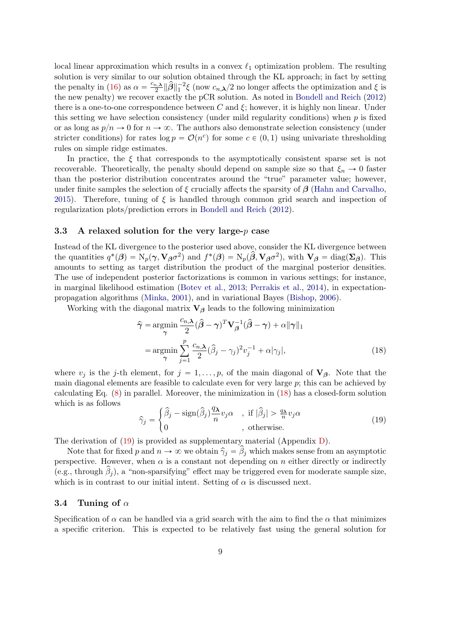local linear approximation which results in a convex  $\ell_1$  optimization problem. The resulting solution is very similar to our solution obtained through the KL approach; in fact by setting the penalty in [\(16\)](#page-7-1) as  $\alpha = \frac{c_{n,\lambda}}{2}$  $\frac{1}{2}$   $\|\hat{\beta}\|_1^{-2}\xi$  (now  $c_{n,\lambda}/2$  no longer affects the optimization and  $\xi$  is the new penalty) we recover exactly the pCR solution. As noted in [Bondell and Reich](#page-21-6) [\(2012\)](#page-21-6) there is a one-to-one correspondence between C and  $\xi$ ; however, it is highly non linear. Under this setting we have selection consistency (under mild regularity conditions) when  $p$  is fixed or as long as  $p/n \to 0$  for  $n \to \infty$ . The authors also demonstrate selection consistency (under stricter conditions) for rates  $log p = \mathcal{O}(n^c)$  for some  $c \in (0, 1)$  using univariate thresholding rules on simple ridge estimates.

In practice, the  $\xi$  that corresponds to the asymptotically consistent sparse set is not recoverable. Theoretically, the penalty should depend on sample size so that  $\xi_n \to 0$  faster than the posterior distribution concentrates around the "true" parameter value; however, under finite samples the selection of  $\xi$  crucially affects the sparsity of  $\beta$  [\(Hahn and Carvalho,](#page-21-7) [2015\)](#page-21-7). Therefore, tuning of  $\xi$  is handled through common grid search and inspection of regularization plots/prediction errors in [Bondell and Reich](#page-21-6) [\(2012\)](#page-21-6).

#### <span id="page-8-0"></span>3.3 A relaxed solution for the very large- $p$  case

Instead of the KL divergence to the posterior used above, consider the KL divergence between the quantities  $q^*(\beta) = \mathrm{N}_p(\gamma, \mathbf{V}_{\beta} \sigma^2)$  and  $f^*(\beta) = \mathrm{N}_p(\hat{\beta}, \mathbf{V}_{\beta} \sigma^2)$ , with  $\mathbf{V}_{\beta} = \mathrm{diag}(\mathbf{\Sigma}_{\beta})$ . This amounts to setting as target distribution the product of the marginal posterior densities. The use of independent posterior factorizations is common in various settings; for instance, in marginal likelihood estimation [\(Botev et al.,](#page-21-11) [2013;](#page-21-11) [Perrakis et al.,](#page-22-10) [2014\)](#page-22-10), in expectationpropagation algorithms [\(Minka,](#page-22-11) [2001\)](#page-22-11), and in variational Bayes [\(Bishop,](#page-21-12) [2006\)](#page-21-12).

Working with the diagonal matrix  $V_\beta$  leads to the following minimization

<span id="page-8-1"></span>
$$
\hat{\gamma} = \underset{\gamma}{\operatorname{argmin}} \frac{c_{n,\lambda}}{2} (\hat{\beta} - \gamma)^T \mathbf{V}_{\beta}^{-1} (\hat{\beta} - \gamma) + \alpha ||\gamma||_1
$$

$$
= \underset{\gamma}{\operatorname{argmin}} \sum_{j=1}^{p} \frac{c_{n,\lambda}}{2} (\hat{\beta}_j - \gamma_j)^2 v_j^{-1} + \alpha |\gamma_j|, \tag{18}
$$

where  $v_j$  is the j-th element, for  $j = 1, \ldots, p$ , of the main diagonal of  $V_\beta$ . Note that the main diagonal elements are feasible to calculate even for very large  $p$ ; this can be achieved by calculating Eq. [\(8\)](#page-4-3) in parallel. Moreover, the minimization in [\(18\)](#page-8-1) has a closed-form solution which is as follows #

<span id="page-8-2"></span>
$$
\widehat{\gamma}_j = \begin{cases} \widehat{\beta}_j - \text{sign}(\widehat{\beta}_j) \frac{q_\lambda}{n} v_j \alpha & , \text{ if } |\widehat{\beta}_j| > \frac{q_\lambda}{n} v_j \alpha \\ 0 & , \text{ otherwise.} \end{cases}
$$
(19)

The derivation of [\(19\)](#page-8-2) is provided as supplementary material (Appendix [D\)](#page-27-0).

Note that for fixed p and  $n \to \infty$  we obtain  $\hat{\gamma}_j = \hat{\beta}_j$  which makes sense from an asymptotic perspective. However, when  $\alpha$  is a constant not depending on n either directly or indirectly (e.g., through  $\beta_j$ ), a "non-sparsifying" effect may be triggered even for moderate sample size, which is in contrast to our initial intent. Setting of  $\alpha$  is discussed next.

#### 3.4 Tuning of  $\alpha$

Specification of  $\alpha$  can be handled via a grid search with the aim to find the  $\alpha$  that minimizes a specific criterion. This is expected to be relatively fast using the general solution for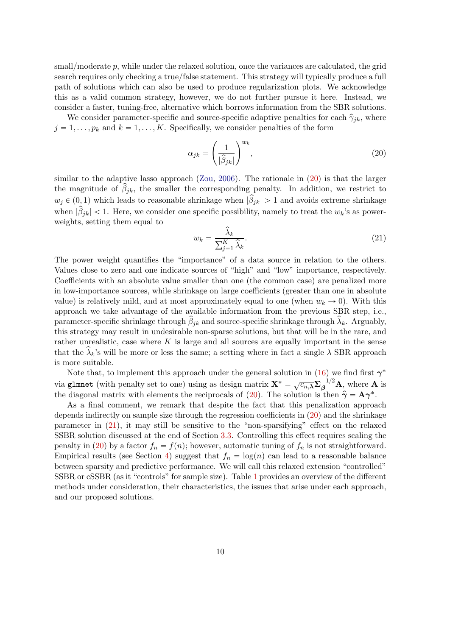small/moderate p, while under the relaxed solution, once the variances are calculated, the grid search requires only checking a true/false statement. This strategy will typically produce a full path of solutions which can also be used to produce regularization plots. We acknowledge this as a valid common strategy, however, we do not further pursue it here. Instead, we consider a faster, tuning-free, alternative which borrows information from the SBR solutions.

We consider parameter-specific and source-specific adaptive penalties for each  $\hat{\gamma}_{ik}$ , where  $j = 1, \ldots, p_k$  and  $k = 1, \ldots, K$ . Specifically, we consider penalties of the form

<span id="page-9-0"></span>
$$
\alpha_{jk} = \left(\frac{1}{|\hat{\beta}_{jk}|}\right)^{w_k},\tag{20}
$$

similar to the adaptive lasso approach [\(Zou,](#page-23-1) [2006\)](#page-23-1). The rationale in [\(20\)](#page-9-0) is that the larger the magnitude of  $\hat{\beta}_{jk}$ , the smaller the corresponding penalty. In addition, we restrict to  $w_j \in (0, 1)$  which leads to reasonable shrinkage when  $|\hat{\beta}_{jk}| > 1$  and avoids extreme shrinkage when  $|\hat{\beta}_{jk}| < 1$ . Here, we consider one specific possibility, namely to treat the  $w_k$ 's as powerweights, setting them equal to

<span id="page-9-1"></span>
$$
w_k = \frac{\widehat{\lambda}_k}{\sum_{j=1}^K \widehat{\lambda}_k}.\tag{21}
$$

The power weight quantifies the "importance" of a data source in relation to the others. Values close to zero and one indicate sources of "high" and "low" importance, respectively. Coefficients with an absolute value smaller than one (the common case) are penalized more in low-importance sources, while shrinkage on large coefficients (greater than one in absolute value) is relatively mild, and at most approximately equal to one (when  $w_k \to 0$ ). With this approach we take advantage of the available information from the previous SBR step, i.e., parameter-specific shrinkage through  $\hat{\beta}_{jk}$  and source-specific shrinkage through  $\hat{\lambda}_k$ . Arguably, this strategy may result in undesirable non-sparse solutions, but that will be in the rare, and rather unrealistic, case where  $K$  is large and all sources are equally important in the sense that the  $\hat{\lambda}_k$ 's will be more or less the same; a setting where in fact a single  $\lambda$  SBR approach is more suitable.

Note that, to implement this approach under the general solution in [\(16\)](#page-7-1) we find first  $\gamma^*$ via glmnet (with penalty set to one) using as design matrix  $\mathbf{X}^* = \sqrt{c_n \lambda} \sum_{\beta}^{-1/2} \mathbf{A}$ , where  $\mathbf{A}$  is the diagonal matrix with elements the reciprocals of [\(20\)](#page-9-0). The solution is then  $\hat{\gamma} = \mathbf{A}\gamma^*$ .

As a final comment, we remark that despite the fact that this penalization approach depends indirectly on sample size through the regression coefficients in [\(20\)](#page-9-0) and the shrinkage parameter in [\(21\)](#page-9-1), it may still be sensitive to the "non-sparsifying" effect on the relaxed SSBR solution discussed at the end of Section [3.3.](#page-8-0) Controlling this effect requires scaling the penalty in [\(20\)](#page-9-0) by a factor  $f_n = f(n)$ ; however, automatic tuning of  $f_n$  is not straightforward. Empirical results (see Section [4\)](#page-10-0) suggest that  $f_n = \log(n)$  can lead to a reasonable balance between sparsity and predictive performance. We will call this relaxed extension "controlled" SSBR or cSSBR (as it "controls" for sample size). Table [1](#page-10-1) provides an overview of the different methods under consideration, their characteristics, the issues that arise under each approach, and our proposed solutions.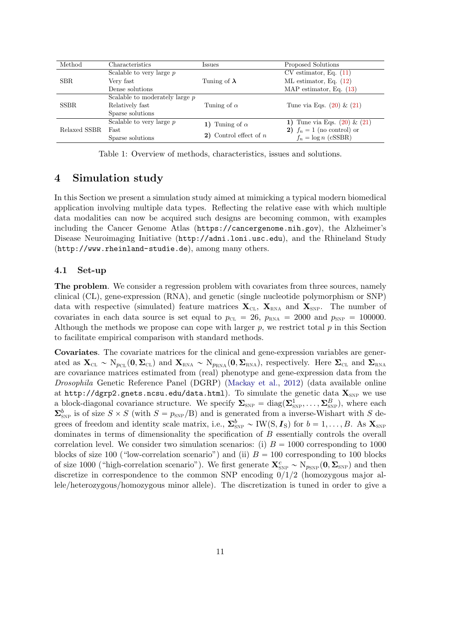| Method       | Characteristics                  | Issues                   | Proposed Solutions               |  |  |
|--------------|----------------------------------|--------------------------|----------------------------------|--|--|
| SBR.         | Scalable to very large $p$       |                          | $CV$ estimator, Eq. $(11)$       |  |  |
|              | Very fast                        | Tuning of $\lambda$      | ML estimator, Eq. $(12)$         |  |  |
|              | Dense solutions                  |                          | MAP estimator, Eq. $(13)$        |  |  |
| <b>SSBR</b>  | Scalable to moderately large $p$ |                          |                                  |  |  |
|              | Relatively fast                  | Tuning of $\alpha$       | Tune via Eqs. $(20)$ & $(21)$    |  |  |
|              | Sparse solutions                 |                          |                                  |  |  |
| Relaxed SSBR | Scalable to very large $p$       | Tuning of $\alpha$<br>1) | 1) Tune via Eqs. $(20)$ & $(21)$ |  |  |
|              | Fast                             |                          | 2) $f_n = 1$ (no control) or     |  |  |
|              | Sparse solutions                 | 2) Control effect of $n$ | $f_n = \log n$ (cSSBR)           |  |  |

<span id="page-10-1"></span>Table 1: Overview of methods, characteristics, issues and solutions.

## <span id="page-10-0"></span>4 Simulation study

In this Section we present a simulation study aimed at mimicking a typical modern biomedical application involving multiple data types. Reflecting the relative ease with which multiple data modalities can now be acquired such designs are becoming common, with examples including the Cancer Genome Atlas (<https://cancergenome.nih.gov>), the Alzheimer's Disease Neuroimaging Initiative (<http://adni.loni.usc.edu>), and the Rhineland Study (<http://www.rheinland-studie.de>), among many others.

#### 4.1 Set-up

The problem. We consider a regression problem with covariates from three sources, namely clinical (CL), gene-expression (RNA), and genetic (single nucleotide polymorphism or SNP) data with respective (simulated) feature matrices  $\mathbf{X}_{\text{CL}}$ ,  $\mathbf{X}_{\text{RNA}}$  and  $\mathbf{X}_{\text{SNP}}$ . The number of covariates in each data source is set equal to  $p_{CL} = 26$ ,  $p_{RNA} = 2000$  and  $p_{SNP} = 100000$ . Although the methods we propose can cope with larger  $p$ , we restrict total  $p$  in this Section to facilitate empirical comparison with standard methods.

Covariates. The covariate matrices for the clinical and gene-expression variables are generated as  $\mathbf{X}_{\text{CL}} \sim N_{p_{\text{CL}}}(\mathbf{0}, \mathbf{\Sigma}_{\text{CL}})$  and  $\mathbf{X}_{\text{RNA}} \sim N_{p_{\text{RNA}}}(\mathbf{0}, \mathbf{\Sigma}_{\text{RNA}})$ , respectively. Here  $\mathbf{\Sigma}_{\text{CL}}$  and  $\mathbf{\Sigma}_{\text{RNA}}$ are covariance matrices estimated from (real) phenotype and gene-expression data from the Drosophila Genetic Reference Panel (DGRP) [\(Mackay et al.,](#page-22-12) [2012\)](#page-22-12) (data available online at <http://dgrp2.gnets.ncsu.edu/data.html>). To simulate the genetic data  $\mathbf{X}_{SNP}$  we use a block-diagonal covariance structure. We specify  $\Sigma_{\text{SNP}} = \text{diag}(\Sigma_{\text{SNP}}^1, \dots, \Sigma_{\text{SNP}}^B)$ , where each  $\Sigma_{\text{SNP}}^b$  is of size  $S \times S$  (with  $S = p_{\text{SNP}}/B$ ) and is generated from a inverse-Wishart with S degrees of freedom and identity scale matrix, i.e.,  $\Sigma_{SNP}^b \sim \text{IW}(S, I_S)$  for  $b = 1, ..., B$ . As  $\mathbf{X}_{SNP}$ dominates in terms of dimensionality the specification of B essentially controls the overall correlation level. We consider two simulation scenarios: (i)  $B = 1000$  corresponding to 1000 blocks of size 100 ("low-correlation scenario") and (ii)  $B = 100$  corresponding to 100 blocks of size 1000 ("high-correlation scenario"). We first generate  $\mathbf{X}_{SNP}^c \sim N_{p_{SNP}}(\mathbf{0}, \mathbf{\Sigma}_{SNP})$  and then discretize in correspondence to the common SNP encoding  $0/1/2$  (homozygous major allele/heterozygous/homozygous minor allele). The discretization is tuned in order to give a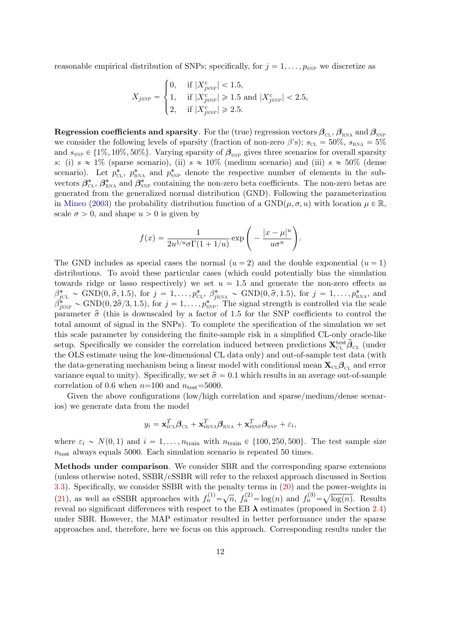reasonable empirical distribution of SNPs; specifically, for  $j = 1, \ldots, p_{SNP}$  we discretize as

**\$100 million** 

$$
X_{j{\text{SNP}}} = \begin{cases} 0, & \text{if } |X_{j{\text{SNP}}}^c| < 1.5, \\ 1, & \text{if } |X_{j{\text{SNP}}}^c| \geqslant 1.5 \text{ and } |X_{j{\text{SNP}}}^c| < 2.5, \\ 2, & \text{if } |X_{j{\text{SNP}}}^c| \geqslant 2.5. \end{cases}
$$

**Regression coefficients and sparsity**. For the (true) regression vectors  $\beta_{CL}$ ,  $\beta_{RNA}$  and  $\beta_{SNP}$ we consider the following levels of sparsity (fraction of non-zero  $\beta$ 's);  $s_{CL} = 50\%$ ,  $s_{RNA} = 5\%$ and  $s_{SNP} \in \{1\%, 10\%, 50\% \}$ . Varying sparsity of  $\beta_{SNP}$  gives three scenarios for overall sparsity s: (i)  $s \approx 1\%$  (sparse scenario), (ii)  $s \approx 10\%$  (medium scenario) and (iii)  $s \approx 50\%$  (dense scenario). Let  $p_{\text{CL}}^*$ ,  $p_{\text{RNA}}^*$  and  $p_{\text{SNP}}^*$  denote the respective number of elements in the subvectors  $\beta_{\text{CL}}^*$ ,  $\beta_{\text{RNA}}^*$  and  $\beta_{\text{SNP}}^*$  containing the non-zero beta coefficients. The non-zero betas are generated from the generalized normal distribution (GND). Following the parameterization in [Mineo](#page-22-13) [\(2003\)](#page-22-13) the probability distribution function of a  $GND(\mu, \sigma, u)$  with location  $\mu \in \mathbb{R}$ , scale  $\sigma > 0$ , and shape  $u > 0$  is given by

$$
f(x) = \frac{1}{2u^{1/u}\sigma\Gamma(1+1/u)} \exp\Bigg(-\frac{|x-\mu|^u}{u\sigma^u}\Bigg).
$$

The GND includes as special cases the normal  $(u = 2)$  and the double exponential  $(u = 1)$ distributions. To avoid these particular cases (which could potentially bias the simulation towards ridge or lasso respectively) we set  $u = 1.5$  and generate the non-zero effects as  $\beta_{jCL}^* \sim \text{GND}(0, \hat{\sigma}, 1.5)$ , for  $j = 1, \ldots, p_{CL}^*, \ \beta_{jRNA}^* \sim \text{GND}(0, \hat{\sigma}, 1.5)$ , for  $j = 1, \ldots, p_{RNA}^*$ , and  $\beta_{jSNP}^* \sim \text{GND}(0, 2\hat{\sigma}/3, 1.5)$ , for  $j = 1, \ldots, p_{SNP}^*$ . The signal strength is controlled via the scale parameter  $\hat{\sigma}$  (this is downscaled by a factor of 1.5 for the SNP coefficients to control the total amount of signal in the SNPs). To complete the specification of the simulation we set this scale parameter by considering the finite-sample risk in a simplified CL-only oracle-like setup. Specifically we consider the correlation induced between predictions  $\mathbf{X}_{\text{CL}}^{\text{test}}\hat{\boldsymbol{\beta}}_{\text{CL}}$  (under the OLS estimate using the low-dimensional CL data only) and out-of-sample test data (with the data-generating mechanism being a linear model with conditional mean  $\mathbf{X}_{\text{CL}}\boldsymbol{\beta}_{\text{CL}}$  and error variance equal to unity). Specifically, we set  $\hat{\sigma} = 0.1$  which results in an average out-of-sample correlation of 0.6 when  $n=100$  and  $n_{\text{test}}=5000$ .

Given the above configurations (low/high correlation and sparse/medium/dense scenarios) we generate data from the model

$$
y_i = \mathbf{x}_{i\text{CL}}^T \boldsymbol{\beta}_{\text{CL}} + \mathbf{x}_{i\text{RNA}}^T \boldsymbol{\beta}_{\text{RNA}} + \mathbf{x}_{i\text{SNP}}^T \boldsymbol{\beta}_{\text{SNP}} + \varepsilon_i,
$$

where  $\varepsilon_i \sim N(0, 1)$  and  $i = 1, \ldots, n_{\text{train}}$  with  $n_{\text{train}} \in \{100, 250, 500\}$ . The test sample size  $n_{\text{test}}$  always equals 5000. Each simulation scenario is repeated 50 times.

Methods under comparison. We consider SBR and the corresponding sparse extensions (unless otherwise noted, SSBR/cSSBR will refer to the relaxed approach discussed in Section [3.3\)](#page-8-0). Specifically, we consider SSBR with the penalty terms in  $(20)$  and the power-weights in [\(21\)](#page-9-1), as well as cSSBR approaches with  $f_n^{(1)} = \sqrt{n}$ ,  $f_n^{(2)} = \log(n)$  and  $f_n^{(3)} = \sqrt{\log(n)}$ . Results reveal no significant differences with respect to the EB  $\lambda$  estimates (proposed in Section [2.4\)](#page-5-3) under SBR. However, the MAP estimator resulted in better performance under the sparse approaches and, therefore, here we focus on this approach. Corresponding results under the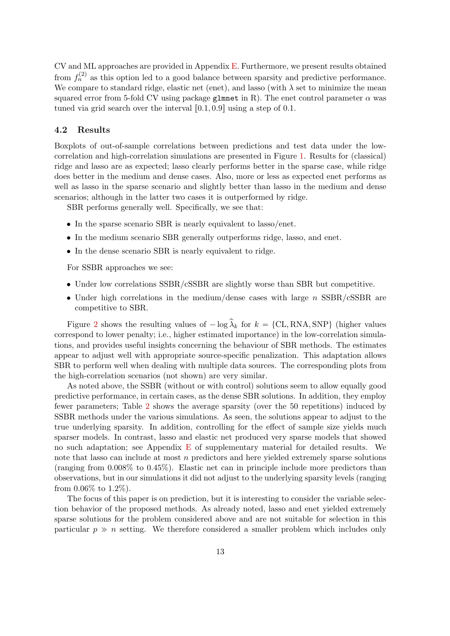CV and ML approaches are provided in Appendix [E.](#page-28-0) Furthermore, we present results obtained from  $f_n^{(2)}$  as this option led to a good balance between sparsity and predictive performance. We compare to standard ridge, elastic net (enet), and lasso (with  $\lambda$  set to minimize the mean squared error from 5-fold CV using package glmnet in R). The enet control parameter  $\alpha$  was tuned via grid search over the interval  $[0.1, 0.9]$  using a step of 0.1.

### 4.2 Results

Boxplots of out-of-sample correlations between predictions and test data under the lowcorrelation and high-correlation simulations are presented in Figure [1.](#page-13-0) Results for (classical) ridge and lasso are as expected; lasso clearly performs better in the sparse case, while ridge does better in the medium and dense cases. Also, more or less as expected enet performs as well as lasso in the sparse scenario and slightly better than lasso in the medium and dense scenarios; although in the latter two cases it is outperformed by ridge.

SBR performs generally well. Specifically, we see that:

- In the sparse scenario SBR is nearly equivalent to lasso/enet.
- In the medium scenario SBR generally outperforms ridge, lasso, and enet.
- In the dense scenario SBR is nearly equivalent to ridge.

For SSBR approaches we see:

- Under low correlations SSBR/cSSBR are slightly worse than SBR but competitive.
- Under high correlations in the medium/dense cases with large n SSBR/cSSBR are competitive to SBR.

Figure [2](#page-14-0) shows the resulting values of  $-\log \widehat{\lambda}_k$  for  $k = \{CL, RNA, SNP\}$  (higher values correspond to lower penalty; i.e., higher estimated importance) in the low-correlation simulations, and provides useful insights concerning the behaviour of SBR methods. The estimates appear to adjust well with appropriate source-specific penalization. This adaptation allows SBR to perform well when dealing with multiple data sources. The corresponding plots from the high-correlation scenarios (not shown) are very similar.

As noted above, the SSBR (without or with control) solutions seem to allow equally good predictive performance, in certain cases, as the dense SBR solutions. In addition, they employ fewer parameters; Table [2](#page-14-1) shows the average sparsity (over the 50 repetitions) induced by SSBR methods under the various simulations. As seen, the solutions appear to adjust to the true underlying sparsity. In addition, controlling for the effect of sample size yields much sparser models. In contrast, lasso and elastic net produced very sparse models that showed no such adaptation; see Appendix [E](#page-28-0) of supplementary material for detailed results. We note that lasso can include at most  $n$  predictors and here yielded extremely sparse solutions (ranging from 0.008% to 0.45%). Elastic net can in principle include more predictors than observations, but in our simulations it did not adjust to the underlying sparsity levels (ranging from  $0.06\%$  to  $1.2\%$ ).

The focus of this paper is on prediction, but it is interesting to consider the variable selection behavior of the proposed methods. As already noted, lasso and enet yielded extremely sparse solutions for the problem considered above and are not suitable for selection in this particular  $p \gg n$  setting. We therefore considered a smaller problem which includes only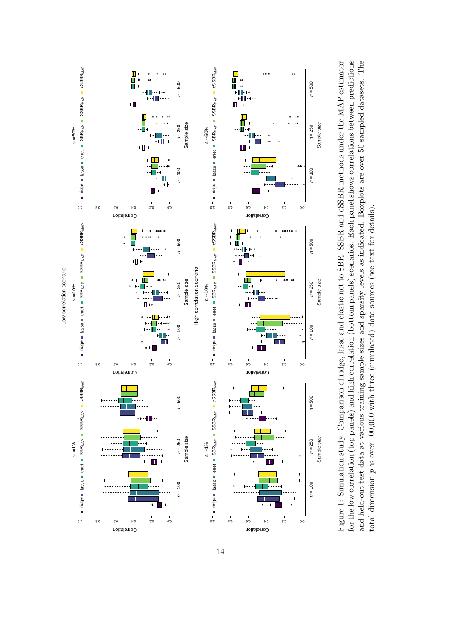

<span id="page-13-0"></span>for the low correlation (top panels) and high correlation (bottom panels) scenarios. Each panel shows correlations between predictions Figure 1: Simulation study. Comparison of ridge, lasso and elastic net to SBR, SSBR and cSSBR methods under the MAP estimator and held-out test data at various training sample sizes and sparsity levels as indicated. Boxplots are over 50 sampled datasets. The Figure 1: Simulation study. Comparison of ridge, lasso and elastic net to SBR, SSBR and cSSBR methods under the MAP estimator for the low correlation (top panels) and high correlation (bottom panels) scenarios. Each panel shows correlations between predictions and held-out test data at various training sample sizes and sparsity levels as indicated. Boxplots are over 50 sampled datasets. The p is over 100,000 with three (simulated) data sources (see text for details). total dimension p is over 100,000 with three (simulated) data sources (see text for details) total dimension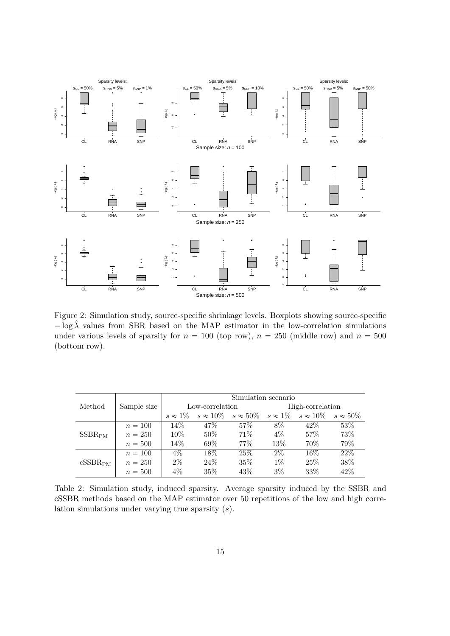

<span id="page-14-0"></span>Figure 2: Simulation study, source-specific shrinkage levels. Boxplots showing source-specific  $-\log \hat{\lambda}$  values from SBR based on the MAP estimator in the low-correlation simulations under various levels of sparsity for  $n = 100$  (top row),  $n = 250$  (middle row) and  $n = 500$ (bottom row).

|                     |             | Simulation scenario |                                                                                                     |      |                  |        |      |
|---------------------|-------------|---------------------|-----------------------------------------------------------------------------------------------------|------|------------------|--------|------|
| Method              | Sample size | Low-correlation     |                                                                                                     |      | High-correlation |        |      |
|                     |             |                     | $s \approx 1\%$ $s \approx 10\%$ $s \approx 50\%$ $s \approx 1\%$ $s \approx 10\%$ $s \approx 50\%$ |      |                  |        |      |
| SSBR <sub>PM</sub>  | $n = 100$   | $14\%$              | 47%                                                                                                 | 57\% | 8%               | $42\%$ | 53\% |
|                     | $n = 250$   | $10\%$              | $50\%$                                                                                              | 71%  | $4\%$            | 57\%   | 73%  |
|                     | $n = 500$   | $14\%$              | $69\%$                                                                                              | 77\% | 13\%             | 70%    | 79%  |
| cSSBR <sub>PM</sub> | $n = 100$   | $4\%$               | $18\%$                                                                                              | 25\% | $2\%$            | $16\%$ | 22%  |
|                     | $n = 250$   | $2\%$               | 24%                                                                                                 | 35%  | $1\%$            | 25%    | 38%  |
|                     | $n = 500$   | $4\%$               | $35\%$                                                                                              | 43\% | $3\%$            | 33%    | 42\% |

<span id="page-14-1"></span>Table 2: Simulation study, induced sparsity. Average sparsity induced by the SSBR and cSSBR methods based on the MAP estimator over 50 repetitions of the low and high correlation simulations under varying true sparsity (s).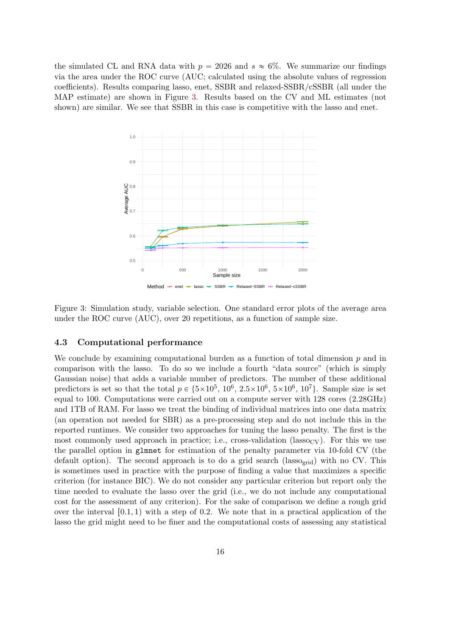the simulated CL and RNA data with  $p = 2026$  and  $s \approx 6\%$ . We summarize our findings via the area under the ROC curve (AUC; calculated using the absolute values of regression coefficients). Results comparing lasso, enet, SSBR and relaxed-SSBR/cSSBR (all under the MAP estimate) are shown in Figure [3.](#page-15-0) Results based on the CV and ML estimates (not shown) are similar. We see that SSBR in this case is competitive with the lasso and enet.



<span id="page-15-0"></span>Figure 3: Simulation study, variable selection. One standard error plots of the average area under the ROC curve (AUC), over 20 repetitions, as a function of sample size.

#### 4.3 Computational performance

We conclude by examining computational burden as a function of total dimension  $p$  and in comparison with the lasso. To do so we include a fourth "data source" (which is simply Gaussian noise) that adds a variable number of predictors. The number of these additional predictors is set so that the total  $p \in \{5 \times 10^5, 10^6, 2.5 \times 10^6, 5 \times 10^6, 10^7\}$ . Sample size is set equal to 100. Computations were carried out on a compute server with 128 cores (2.28GHz) and 1TB of RAM. For lasso we treat the binding of individual matrices into one data matrix (an operation not needed for SBR) as a pre-processing step and do not include this in the reported runtimes. We consider two approaches for tuning the lasso penalty. The first is the most commonly used approach in practice; i.e., cross-validation (lasso<sub>CV</sub>). For this we use the parallel option in glmnet for estimation of the penalty parameter via 10-fold CV (the default option). The second approach is to do a grid search (lasso<sub>grid</sub>) with no CV. This is sometimes used in practice with the purpose of finding a value that maximizes a specific criterion (for instance BIC). We do not consider any particular criterion but report only the time needed to evaluate the lasso over the grid (i.e., we do not include any computational cost for the assessment of any criterion). For the sake of comparison we define a rough grid over the interval  $[0.1, 1)$  with a step of 0.2. We note that in a practical application of the lasso the grid might need to be finer and the computational costs of assessing any statistical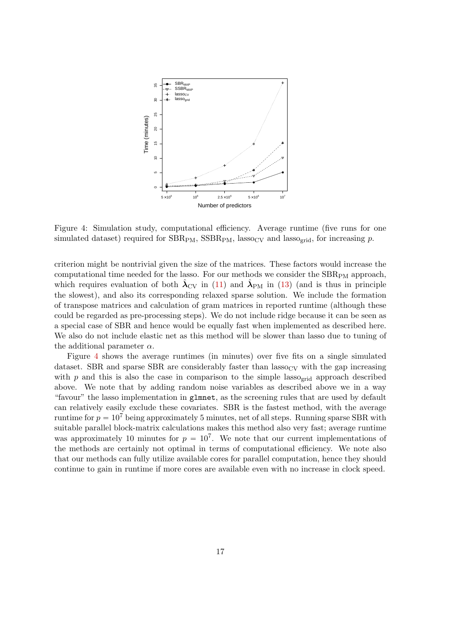

<span id="page-16-0"></span>Figure 4: Simulation study, computational efficiency. Average runtime (five runs for one simulated dataset) required for  $SBR_{PM}$ ,  $SSBR_{PM}$ , lasso<sub>CV</sub> and lasso<sub>grid</sub>, for increasing p.

criterion might be nontrivial given the size of the matrices. These factors would increase the computational time needed for the lasso. For our methods we consider the  $SBR_{PM}$  approach, which requires evaluation of both  $\hat{\lambda}_{\rm CV}$  in [\(11\)](#page-5-0) and  $\hat{\lambda}_{\rm PM}$  in [\(13\)](#page-5-2) (and is thus in principle the slowest), and also its corresponding relaxed sparse solution. We include the formation of transpose matrices and calculation of gram matrices in reported runtime (although these could be regarded as pre-processing steps). We do not include ridge because it can be seen as a special case of SBR and hence would be equally fast when implemented as described here. We also do not include elastic net as this method will be slower than lasso due to tuning of the additional parameter  $\alpha$ .

Figure [4](#page-16-0) shows the average runtimes (in minutes) over five fits on a single simulated dataset. SBR and sparse SBR are considerably faster than  $lasso_{CV}$  with the gap increasing with  $p$  and this is also the case in comparison to the simple lasso<sub>grid</sub> approach described above. We note that by adding random noise variables as described above we in a way "favour" the lasso implementation in glmnet, as the screening rules that are used by default can relatively easily exclude these covariates. SBR is the fastest method, with the average runtime for  $p = 10^7$  being approximately 5 minutes, net of all steps. Running sparse SBR with suitable parallel block-matrix calculations makes this method also very fast; average runtime was approximately 10 minutes for  $p = 10^7$ . We note that our current implementations of the methods are certainly not optimal in terms of computational efficiency. We note also that our methods can fully utilize available cores for parallel computation, hence they should continue to gain in runtime if more cores are available even with no increase in clock speed.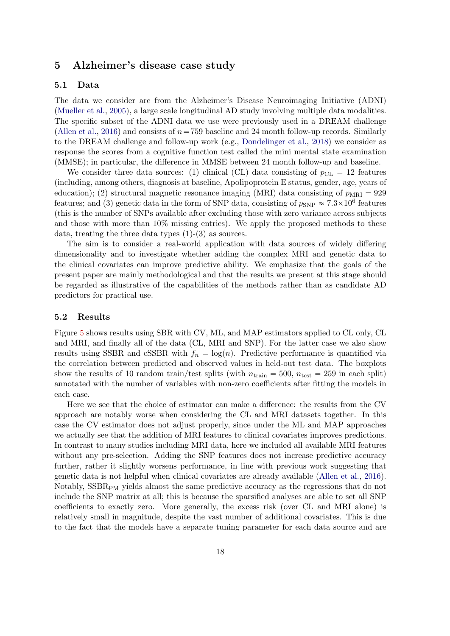## <span id="page-17-0"></span>5 Alzheimer's disease case study

#### 5.1 Data

The data we consider are from the Alzheimer's Disease Neuroimaging Initiative (ADNI) [\(Mueller et al.,](#page-22-8) [2005\)](#page-22-8), a large scale longitudinal AD study involving multiple data modalities. The specific subset of the ADNI data we use were previously used in a DREAM challenge [\(Allen et al.,](#page-20-0) [2016\)](#page-20-0) and consists of  $n = 759$  baseline and 24 month follow-up records. Similarly to the DREAM challenge and follow-up work (e.g., [Dondelinger et al.,](#page-21-5) [2018\)](#page-21-5) we consider as response the scores from a cognitive function test called the mini mental state examination (MMSE); in particular, the difference in MMSE between 24 month follow-up and baseline.

We consider three data sources: (1) clinical (CL) data consisting of  $p_{CL} = 12$  features (including, among others, diagnosis at baseline, Apolipoprotein E status, gender, age, years of education); (2) structural magnetic resonance imaging (MRI) data consisting of  $p_{\text{MRI}} = 929$ features; and (3) genetic data in the form of SNP data, consisting of  $p_{SNP} \approx 7.3 \times 10^6$  features (this is the number of SNPs available after excluding those with zero variance across subjects and those with more than 10% missing entries). We apply the proposed methods to these data, treating the three data types  $(1)-(3)$  as sources.

The aim is to consider a real-world application with data sources of widely differing dimensionality and to investigate whether adding the complex MRI and genetic data to the clinical covariates can improve predictive ability. We emphasize that the goals of the present paper are mainly methodological and that the results we present at this stage should be regarded as illustrative of the capabilities of the methods rather than as candidate AD predictors for practical use.

#### 5.2 Results

Figure [5](#page-18-0) shows results using SBR with CV, ML, and MAP estimators applied to CL only, CL and MRI, and finally all of the data (CL, MRI and SNP). For the latter case we also show results using SSBR and cSSBR with  $f_n = \log(n)$ . Predictive performance is quantified via the correlation between predicted and observed values in held-out test data. The boxplots show the results of 10 random train/test splits (with  $n_{\text{train}} = 500$ ,  $n_{\text{test}} = 259$  in each split) annotated with the number of variables with non-zero coefficients after fitting the models in each case.

Here we see that the choice of estimator can make a difference: the results from the CV approach are notably worse when considering the CL and MRI datasets together. In this case the CV estimator does not adjust properly, since under the ML and MAP approaches we actually see that the addition of MRI features to clinical covariates improves predictions. In contrast to many studies including MRI data, here we included all available MRI features without any pre-selection. Adding the SNP features does not increase predictive accuracy further, rather it slightly worsens performance, in line with previous work suggesting that genetic data is not helpful when clinical covariates are already available [\(Allen et al.,](#page-20-0) [2016\)](#page-20-0). Notably, SSBR<sub>PM</sub> yields almost the same predictive accuracy as the regressions that do not include the SNP matrix at all; this is because the sparsified analyses are able to set all SNP coefficients to exactly zero. More generally, the excess risk (over CL and MRI alone) is relatively small in magnitude, despite the vast number of additional covariates. This is due to the fact that the models have a separate tuning parameter for each data source and are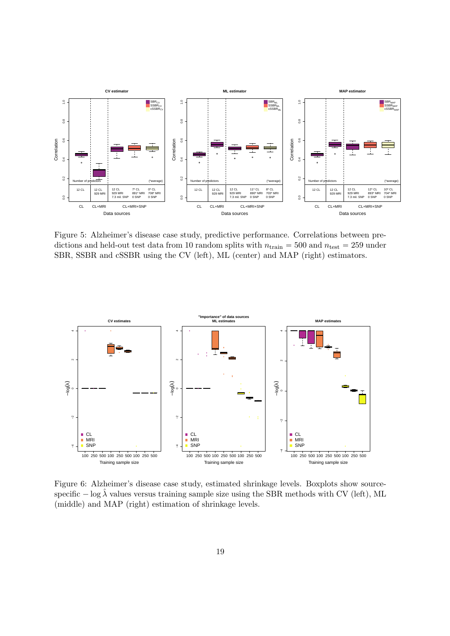

<span id="page-18-0"></span>Figure 5: Alzheimer's disease case study, predictive performance. Correlations between predictions and held-out test data from 10 random splits with  $n_{\text{train}} = 500$  and  $n_{\text{test}} = 259$  under SBR, SSBR and cSSBR using the CV (left), ML (center) and MAP (right) estimators.



<span id="page-18-1"></span>Figure 6: Alzheimer's disease case study, estimated shrinkage levels. Boxplots show sourcespecific  $- \log \lambda$  values versus training sample size using the SBR methods with CV (left), ML (middle) and MAP (right) estimation of shrinkage levels.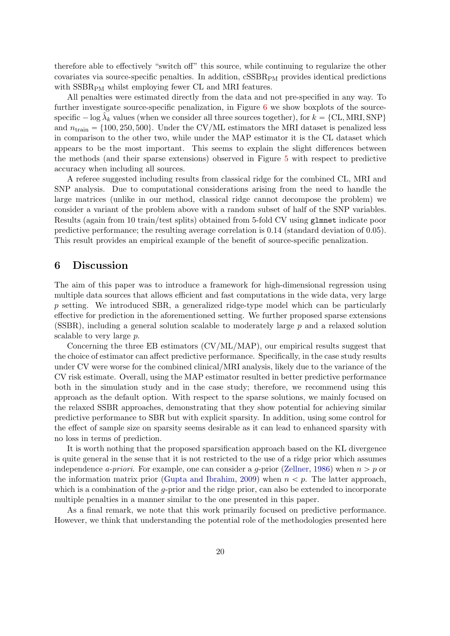therefore able to effectively "switch off" this source, while continuing to regularize the other covariates via source-specific penalties. In addition,  $cSSBR<sub>PM</sub>$  provides identical predictions with  $SSBR<sub>PM</sub>$  whilst employing fewer CL and MRI features.

All penalties were estimated directly from the data and not pre-specified in any way. To further investigate source-specific penalization, in Figure [6](#page-18-1) we show boxplots of the sourcespecific  $-\log \hat{\lambda}_k$  values (when we consider all three sources together), for  $k = \{CL, MRI, SNP\}$ and  $n_{\text{train}} = \{100, 250, 500\}$ . Under the CV/ML estimators the MRI dataset is penalized less in comparison to the other two, while under the MAP estimator it is the CL dataset which appears to be the most important. This seems to explain the slight differences between the methods (and their sparse extensions) observed in Figure [5](#page-18-0) with respect to predictive accuracy when including all sources.

A referee suggested including results from classical ridge for the combined CL, MRI and SNP analysis. Due to computational considerations arising from the need to handle the large matrices (unlike in our method, classical ridge cannot decompose the problem) we consider a variant of the problem above with a random subset of half of the SNP variables. Results (again from 10 train/test splits) obtained from 5-fold CV using glmnet indicate poor predictive performance; the resulting average correlation is 0.14 (standard deviation of 0.05). This result provides an empirical example of the benefit of source-specific penalization.

## <span id="page-19-0"></span>6 Discussion

The aim of this paper was to introduce a framework for high-dimensional regression using multiple data sources that allows efficient and fast computations in the wide data, very large p setting. We introduced SBR, a generalized ridge-type model which can be particularly effective for prediction in the aforementioned setting. We further proposed sparse extensions (SSBR), including a general solution scalable to moderately large p and a relaxed solution scalable to very large p.

Concerning the three EB estimators (CV/ML/MAP), our empirical results suggest that the choice of estimator can affect predictive performance. Specifically, in the case study results under CV were worse for the combined clinical/MRI analysis, likely due to the variance of the CV risk estimate. Overall, using the MAP estimator resulted in better predictive performance both in the simulation study and in the case study; therefore, we recommend using this approach as the default option. With respect to the sparse solutions, we mainly focused on the relaxed SSBR approaches, demonstrating that they show potential for achieving similar predictive performance to SBR but with explicit sparsity. In addition, using some control for the effect of sample size on sparsity seems desirable as it can lead to enhanced sparsity with no loss in terms of prediction.

It is worth nothing that the proposed sparsification approach based on the KL divergence is quite general in the sense that it is not restricted to the use of a ridge prior which assumes independence a-priori. For example, one can consider a g-prior [\(Zellner,](#page-23-2) [1986\)](#page-23-2) when  $n > p$  or the information matrix prior [\(Gupta and Ibrahim,](#page-21-13) [2009\)](#page-21-13) when  $n < p$ . The latter approach, which is a combination of the  $q$ -prior and the ridge prior, can also be extended to incorporate multiple penalties in a manner similar to the one presented in this paper.

As a final remark, we note that this work primarily focused on predictive performance. However, we think that understanding the potential role of the methodologies presented here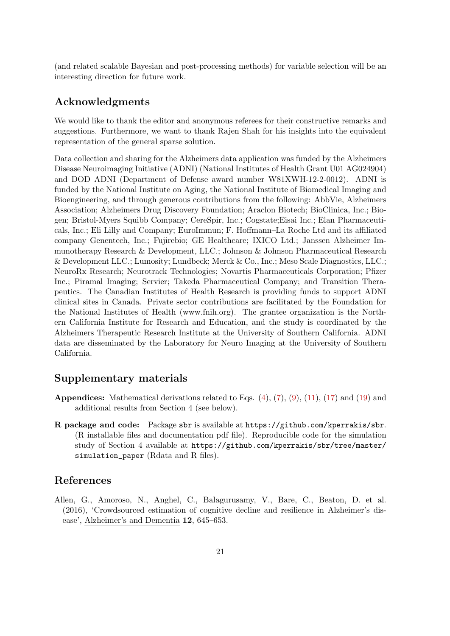(and related scalable Bayesian and post-processing methods) for variable selection will be an interesting direction for future work.

## Acknowledgments

We would like to thank the editor and anonymous referees for their constructive remarks and suggestions. Furthermore, we want to thank Rajen Shah for his insights into the equivalent representation of the general sparse solution.

Data collection and sharing for the Alzheimers data application was funded by the Alzheimers Disease Neuroimaging Initiative (ADNI) (National Institutes of Health Grant U01 AG024904) and DOD ADNI (Department of Defense award number W81XWH-12-2-0012). ADNI is funded by the National Institute on Aging, the National Institute of Biomedical Imaging and Bioengineering, and through generous contributions from the following: AbbVie, Alzheimers Association; Alzheimers Drug Discovery Foundation; Araclon Biotech; BioClinica, Inc.; Biogen; Bristol-Myers Squibb Company; CereSpir, Inc.; Cogstate;Eisai Inc.; Elan Pharmaceuticals, Inc.; Eli Lilly and Company; EuroImmun; F. Hoffmann–La Roche Ltd and its affiliated company Genentech, Inc.; Fujirebio; GE Healthcare; IXICO Ltd.; Janssen Alzheimer Immunotherapy Research & Development, LLC.; Johnson & Johnson Pharmaceutical Research & Development LLC.; Lumosity; Lundbeck; Merck & Co., Inc.; Meso Scale Diagnostics, LLC.; NeuroRx Research; Neurotrack Technologies; Novartis Pharmaceuticals Corporation; Pfizer Inc.; Piramal Imaging; Servier; Takeda Pharmaceutical Company; and Transition Therapeutics. The Canadian Institutes of Health Research is providing funds to support ADNI clinical sites in Canada. Private sector contributions are facilitated by the Foundation for the National Institutes of Health (www.fnih.org). The grantee organization is the Northern California Institute for Research and Education, and the study is coordinated by the Alzheimers Therapeutic Research Institute at the University of Southern California. ADNI data are disseminated by the Laboratory for Neuro Imaging at the University of Southern California.

## Supplementary materials

- **Appendices:** Mathematical derivations related to Eqs.  $(4)$ ,  $(7)$ ,  $(9)$ ,  $(11)$ ,  $(17)$  and  $(19)$  and additional results from Section 4 (see below).
- R package and code: Package sbr is available at <https://github.com/kperrakis/sbr>. (R installable files and documentation pdf file). Reproducible code for the simulation study of Section 4 available at [https://github.com/kperrakis/sbr/tree/master/](https://github.com/kperrakis/sbr/tree/master/simulation_paper) [simulation\\_paper](https://github.com/kperrakis/sbr/tree/master/simulation_paper) (Rdata and R files).

## References

<span id="page-20-0"></span>Allen, G., Amoroso, N., Anghel, C., Balagurusamy, V., Bare, C., Beaton, D. et al. (2016), 'Crowdsourced estimation of cognitive decline and resilience in Alzheimer's disease', Alzheimer's and Dementia 12, 645–653.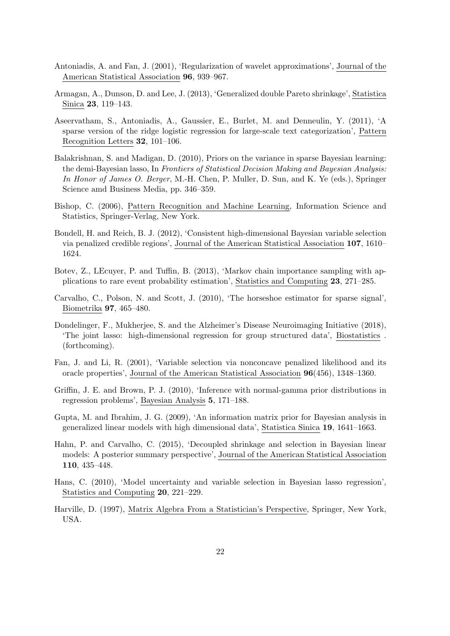- <span id="page-21-9"></span>Antoniadis, A. and Fan, J. (2001), 'Regularization of wavelet approximations', Journal of the American Statistical Association 96, 939–967.
- <span id="page-21-4"></span>Armagan, A., Dunson, D. and Lee, J. (2013), 'Generalized double Pareto shrinkage', Statistica Sinica 23, 119–143.
- <span id="page-21-10"></span>Aseervatham, S., Antoniadis, A., Gaussier, E., Burlet, M. and Denneulin, Y. (2011), 'A sparse version of the ridge logistic regression for large-scale text categorization', Pattern Recognition Letters 32, 101–106.
- <span id="page-21-8"></span>Balakrishnan, S. and Madigan, D. (2010), Priors on the variance in sparse Bayesian learning: the demi-Bayesian lasso, In Frontiers of Statistical Decision Making and Bayesian Analysis: In Honor of James O. Berger, M.-H. Chen, P. Muller, D. Sun, and K. Ye (eds.), Springer Science amd Business Media, pp. 346–359.
- <span id="page-21-12"></span>Bishop, C. (2006), Pattern Recognition and Machine Learning, Information Science and Statistics, Springer-Verlag, New York.
- <span id="page-21-6"></span>Bondell, H. and Reich, B. J. (2012), 'Consistent high-dimensional Bayesian variable selection via penalized credible regions', Journal of the American Statistical Association 107, 1610– 1624.
- <span id="page-21-11"></span>Botev, Z., LEcuyer, P. and Tuffin, B. (2013), 'Markov chain importance sampling with applications to rare event probability estimation', Statistics and Computing 23, 271–285.
- <span id="page-21-3"></span>Carvalho, C., Polson, N. and Scott, J. (2010), 'The horseshoe estimator for sparse signal', Biometrika 97, 465–480.
- <span id="page-21-5"></span>Dondelinger, F., Mukherjee, S. and the Alzheimer's Disease Neuroimaging Initiative (2018), 'The joint lasso: high-dimensional regression for group structured data', Biostatistics . (forthcoming).
- <span id="page-21-0"></span>Fan, J. and Li, R. (2001), 'Variable selection via nonconcave penalized likelihood and its oracle properties', Journal of the American Statistical Association 96(456), 1348–1360.
- <span id="page-21-2"></span>Griffin, J. E. and Brown, P. J. (2010), 'Inference with normal-gamma prior distributions in regression problems', Bayesian Analysis 5, 171–188.
- <span id="page-21-13"></span>Gupta, M. and Ibrahim, J. G. (2009), 'An information matrix prior for Bayesian analysis in generalized linear models with high dimensional data', Statistica Sinica 19, 1641–1663.
- <span id="page-21-7"></span>Hahn, P. and Carvalho, C. (2015), 'Decoupled shrinkage and selection in Bayesian linear models: A posterior summary perspective', Journal of the American Statistical Association 110, 435–448.
- <span id="page-21-1"></span>Hans, C. (2010), 'Model uncertainty and variable selection in Bayesian lasso regression', Statistics and Computing 20, 221–229.
- <span id="page-21-14"></span>Harville, D. (1997), Matrix Algebra From a Statistician's Perspective, Springer, New York, USA.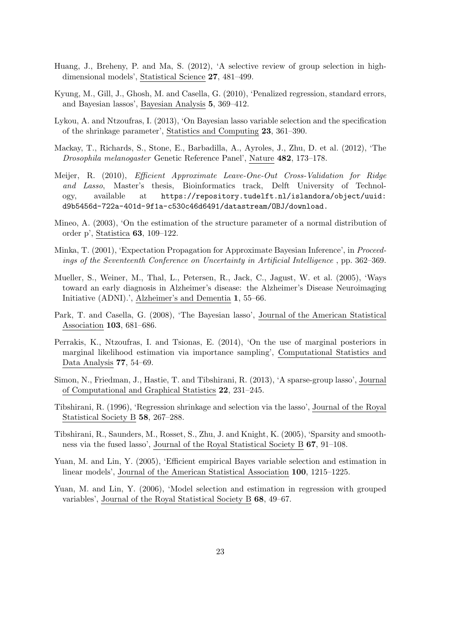- <span id="page-22-6"></span>Huang, J., Breheny, P. and Ma, S. (2012), 'A selective review of group selection in highdimensional models', Statistical Science 27, 481–499.
- <span id="page-22-3"></span>Kyung, M., Gill, J., Ghosh, M. and Casella, G. (2010), 'Penalized regression, standard errors, and Bayesian lassos', Bayesian Analysis 5, 369–412.
- <span id="page-22-9"></span>Lykou, A. and Ntzoufras, I. (2013), 'On Bayesian lasso variable selection and the specification of the shrinkage parameter', Statistics and Computing 23, 361–390.
- <span id="page-22-12"></span>Mackay, T., Richards, S., Stone, E., Barbadilla, A., Ayroles, J., Zhu, D. et al. (2012), 'The Drosophila melanogaster Genetic Reference Panel', Nature 482, 173–178.
- <span id="page-22-14"></span>Meijer, R. (2010), Efficient Approximate Leave-One-Out Cross-Validation for Ridge and Lasso, Master's thesis, Bioinformatics track, Delft University of Technology, available at [https://repository.tudelft.nl/islandora/object/uuid:](https://repository.tudelft.nl/islandora/object/uuid:d9b5456d-722a-401d-9f1a-c530c46d6491/datastream/OBJ/download.) [d9b5456d-722a-401d-9f1a-c530c46d6491/datastream/OBJ/download.](https://repository.tudelft.nl/islandora/object/uuid:d9b5456d-722a-401d-9f1a-c530c46d6491/datastream/OBJ/download.)
- <span id="page-22-13"></span>Mineo, A. (2003), 'On the estimation of the structure parameter of a normal distribution of order p', Statistica 63, 109–122.
- <span id="page-22-11"></span>Minka, T. (2001), 'Expectation Propagation for Approximate Bayesian Inference', in Proceedings of the Seventeenth Conference on Uncertainty in Artificial Intelligence , pp. 362–369.
- <span id="page-22-8"></span>Mueller, S., Weiner, M., Thal, L., Petersen, R., Jack, C., Jagust, W. et al. (2005), 'Ways toward an early diagnosis in Alzheimer's disease: the Alzheimer's Disease Neuroimaging Initiative (ADNI).', Alzheimer's and Dementia 1, 55–66.
- <span id="page-22-5"></span>Park, T. and Casella, G. (2008), 'The Bayesian lasso', Journal of the American Statistical Association 103, 681–686.
- <span id="page-22-10"></span>Perrakis, K., Ntzoufras, I. and Tsionas, E. (2014), 'On the use of marginal posteriors in marginal likelihood estimation via importance sampling', Computational Statistics and Data Analysis 77, 54–69.
- <span id="page-22-7"></span>Simon, N., Friedman, J., Hastie, T. and Tibshirani, R. (2013), 'A sparse-group lasso', Journal of Computational and Graphical Statistics 22, 231–245.
- <span id="page-22-0"></span>Tibshirani, R. (1996), 'Regression shrinkage and selection via the lasso', Journal of the Royal Statistical Society B 58, 267–288.
- <span id="page-22-1"></span>Tibshirani, R., Saunders, M., Rosset, S., Zhu, J. and Knight, K. (2005), 'Sparsity and smoothness via the fused lasso', Journal of the Royal Statistical Society B 67, 91–108.
- <span id="page-22-4"></span>Yuan, M. and Lin, Y. (2005), 'Efficient empirical Bayes variable selection and estimation in linear models', Journal of the American Statistical Association 100, 1215–1225.
- <span id="page-22-2"></span>Yuan, M. and Lin, Y. (2006), 'Model selection and estimation in regression with grouped variables', Journal of the Royal Statistical Society B 68, 49–67.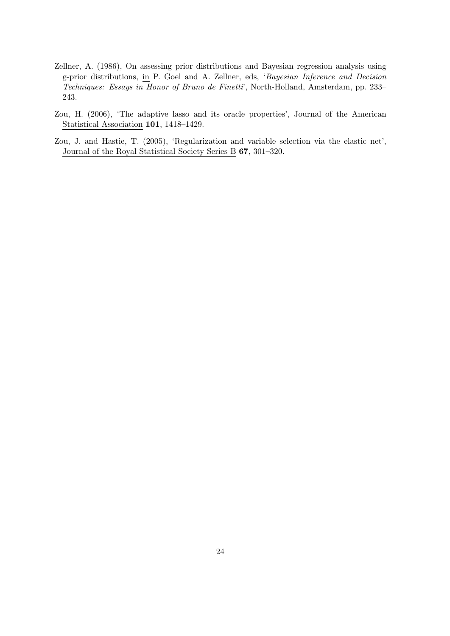- <span id="page-23-2"></span>Zellner, A. (1986), On assessing prior distributions and Bayesian regression analysis using g-prior distributions, in P. Goel and A. Zellner, eds, 'Bayesian Inference and Decision Techniques: Essays in Honor of Bruno de Finetti', North-Holland, Amsterdam, pp. 233– 243.
- <span id="page-23-1"></span>Zou, H. (2006), 'The adaptive lasso and its oracle properties', Journal of the American Statistical Association 101, 1418–1429.
- <span id="page-23-0"></span>Zou, J. and Hastie, T. (2005), 'Regularization and variable selection via the elastic net', Journal of the Royal Statistical Society Series B 67, 301–320.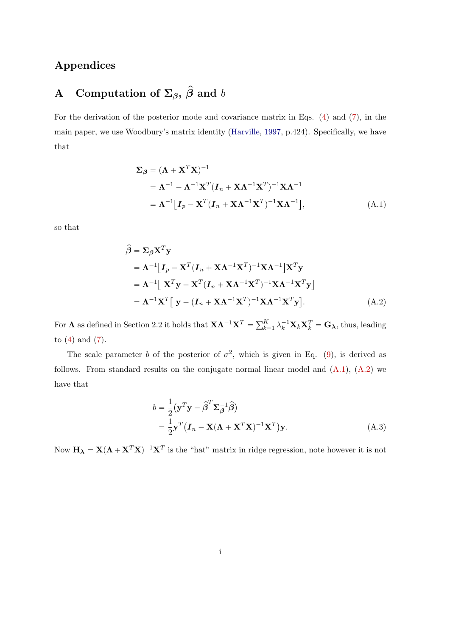# Appendices

# <span id="page-24-0"></span>A Computation of  $\Sigma_{\beta}$ ,  $\hat{\beta}$  and b

For the derivation of the posterior mode and covariance matrix in Eqs. [\(4\)](#page-3-1) and [\(7\)](#page-4-0), in the main paper, we use Woodbury's matrix identity [\(Harville,](#page-21-14) [1997,](#page-21-14) p.424). Specifically, we have that

<span id="page-24-1"></span>
$$
\Sigma_{\beta} = (\mathbf{\Lambda} + \mathbf{X}^{T} \mathbf{X})^{-1}
$$
  
=  $\mathbf{\Lambda}^{-1} - \mathbf{\Lambda}^{-1} \mathbf{X}^{T} (\mathbf{I}_{n} + \mathbf{X} \mathbf{\Lambda}^{-1} \mathbf{X}^{T})^{-1} \mathbf{X} \mathbf{\Lambda}^{-1}$   
=  $\mathbf{\Lambda}^{-1} [\mathbf{I}_{p} - \mathbf{X}^{T} (\mathbf{I}_{n} + \mathbf{X} \mathbf{\Lambda}^{-1} \mathbf{X}^{T})^{-1} \mathbf{X} \mathbf{\Lambda}^{-1}],$  (A.1)

so that

$$
\hat{\beta} = \Sigma_{\beta} \mathbf{X}^{T} \mathbf{y}
$$
\n
$$
= \mathbf{\Lambda}^{-1} [\mathbf{I}_{p} - \mathbf{X}^{T} (\mathbf{I}_{n} + \mathbf{X} \mathbf{\Lambda}^{-1} \mathbf{X}^{T})^{-1} \mathbf{X} \mathbf{\Lambda}^{-1}] \mathbf{X}^{T} \mathbf{y}
$$
\n
$$
= \mathbf{\Lambda}^{-1} [\mathbf{X}^{T} \mathbf{y} - \mathbf{X}^{T} (\mathbf{I}_{n} + \mathbf{X} \mathbf{\Lambda}^{-1} \mathbf{X}^{T})^{-1} \mathbf{X} \mathbf{\Lambda}^{-1} \mathbf{X}^{T} \mathbf{y}]
$$
\n
$$
= \mathbf{\Lambda}^{-1} \mathbf{X}^{T} [\mathbf{y} - (\mathbf{I}_{n} + \mathbf{X} \mathbf{\Lambda}^{-1} \mathbf{X}^{T})^{-1} \mathbf{X} \mathbf{\Lambda}^{-1} \mathbf{X}^{T} \mathbf{y}].
$$
\n(A.2)

For  $\Lambda$  as defined in Section 2.2 it holds that  $X\Lambda^{-1}X^T = \sum_{k=1}^K X^T$  $_{k=1}^K \lambda_k^{-1} \mathbf{X}_k \mathbf{X}_k^T = \mathbf{G}_{\boldsymbol{\lambda}}, \text{thus, leading}$ to  $(4)$  and  $(7)$ .

The scale parameter b of the posterior of  $\sigma^2$ , which is given in Eq. [\(9\)](#page-4-1), is derived as follows. From standard results on the conjugate normal linear model and  $(A.1)$ ,  $(A.2)$  we have that

<span id="page-24-3"></span><span id="page-24-2"></span>
$$
b = \frac{1}{2} (\mathbf{y}^T \mathbf{y} - \hat{\boldsymbol{\beta}}^T \mathbf{\Sigma}_{\hat{\boldsymbol{\beta}}}^{-1} \hat{\boldsymbol{\beta}})
$$
  
=  $\frac{1}{2} \mathbf{y}^T (\boldsymbol{I}_n - \mathbf{X} (\boldsymbol{\Lambda} + \mathbf{X}^T \mathbf{X})^{-1} \mathbf{X}^T) \mathbf{y}.$  (A.3)

Now  $\mathbf{H}_{\lambda} = \mathbf{X}(\Lambda + \mathbf{X}^T\mathbf{X})^{-1}\mathbf{X}^T$  is the "hat" matrix in ridge regression, note however it is not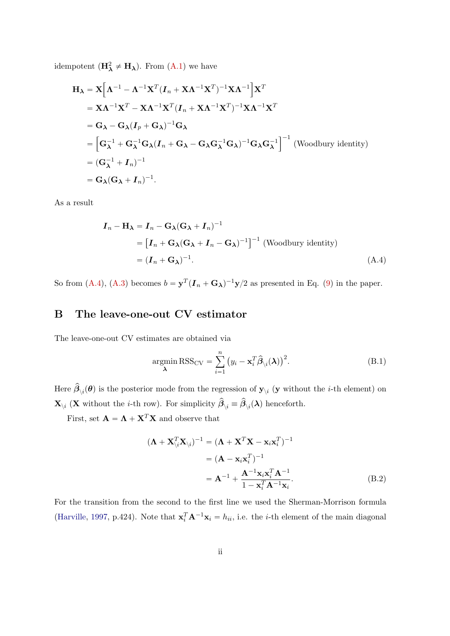idempotent  $(\mathbf{H}_{\lambda}^2 \neq \mathbf{H}_{\lambda})$ . From  $(A.1)$  we have

$$
\mathbf{H}_{\lambda} = \mathbf{X} \Big[ \mathbf{\Lambda}^{-1} - \mathbf{\Lambda}^{-1} \mathbf{X}^{T} (\mathbf{I}_{n} + \mathbf{X} \mathbf{\Lambda}^{-1} \mathbf{X}^{T})^{-1} \mathbf{X} \mathbf{\Lambda}^{-1} \Big] \mathbf{X}^{T}
$$
\n
$$
= \mathbf{X} \mathbf{\Lambda}^{-1} \mathbf{X}^{T} - \mathbf{X} \mathbf{\Lambda}^{-1} \mathbf{X}^{T} (\mathbf{I}_{n} + \mathbf{X} \mathbf{\Lambda}^{-1} \mathbf{X}^{T})^{-1} \mathbf{X} \mathbf{\Lambda}^{-1} \mathbf{X}^{T}
$$
\n
$$
= \mathbf{G}_{\lambda} - \mathbf{G}_{\lambda} (\mathbf{I}_{p} + \mathbf{G}_{\lambda})^{-1} \mathbf{G}_{\lambda}
$$
\n
$$
= \Big[ \mathbf{G}_{\lambda}^{-1} + \mathbf{G}_{\lambda}^{-1} \mathbf{G}_{\lambda} (\mathbf{I}_{n} + \mathbf{G}_{\lambda} - \mathbf{G}_{\lambda} \mathbf{G}_{\lambda}^{-1} \mathbf{G}_{\lambda})^{-1} \mathbf{G}_{\lambda} \mathbf{G}_{\lambda}^{-1} \Big]^{-1} \text{ (Woodbury identity)}
$$
\n
$$
= (\mathbf{G}_{\lambda}^{-1} + \mathbf{I}_{n})^{-1}
$$
\n
$$
= \mathbf{G}_{\lambda} (\mathbf{G}_{\lambda} + \mathbf{I}_{n})^{-1}.
$$

As a result

$$
I_n - \mathbf{H}_{\lambda} = I_n - \mathbf{G}_{\lambda} (\mathbf{G}_{\lambda} + I_n)^{-1}
$$
  
= 
$$
[I_n + \mathbf{G}_{\lambda} (\mathbf{G}_{\lambda} + I_n - \mathbf{G}_{\lambda})^{-1}]^{-1}
$$
 (Woodbury identity)  
= 
$$
(I_n + \mathbf{G}_{\lambda})^{-1}.
$$
 (A.4)

So from [\(A.4\)](#page-25-1), [\(A.3\)](#page-24-3) becomes  $b = y^T (I_n + G_\lambda)^{-1} y/2$  as presented in Eq. [\(9\)](#page-4-1) in the paper.

## <span id="page-25-0"></span>B The leave-one-out CV estimator

The leave-one-out CV estimates are obtained via

<span id="page-25-3"></span><span id="page-25-1"></span>
$$
\underset{\lambda}{\operatorname{argmin}} \text{RSS}_{\text{CV}} = \sum_{i=1}^{n} (y_i - \mathbf{x}_i^T \hat{\beta}_{\setminus i}(\lambda))^2.
$$
 (B.1)

Here  $\hat{\beta}_{\setminus i}(\theta)$  is the posterior mode from the regression of  $\mathbf{y}_{\setminus i}$  (y without the *i*-th element) on  $\mathbf{X}_{\setminus i}$  (**X** without the *i*-th row). For simplicity  $\hat{\beta}_{\setminus i} \equiv \hat{\beta}_{\setminus i}(\lambda)$  henceforth.

First, set  $\mathbf{A} = \mathbf{\Lambda} + \mathbf{X}^T \mathbf{X}$  and observe that

<span id="page-25-2"></span>
$$
(\mathbf{\Lambda} + \mathbf{X}_{\backslash i}^T \mathbf{X}_{\backslash i})^{-1} = (\mathbf{\Lambda} + \mathbf{X}^T \mathbf{X} - \mathbf{x}_i \mathbf{x}_i^T)^{-1}
$$
  
=  $(\mathbf{A} - \mathbf{x}_i \mathbf{x}_i^T)^{-1}$   
=  $\mathbf{A}^{-1} + \frac{\mathbf{A}^{-1} \mathbf{x}_i \mathbf{x}_i^T \mathbf{A}^{-1}}{1 - \mathbf{x}_i^T \mathbf{A}^{-1} \mathbf{x}_i}.$  (B.2)

For the transition from the second to the first line we used the Sherman-Morrison formula [\(Harville,](#page-21-14) [1997,](#page-21-14) p.424). Note that  $\mathbf{x}_i^T \mathbf{A}^{-1} \mathbf{x}_i = h_{ii}$ , i.e. the *i*-th element of the main diagonal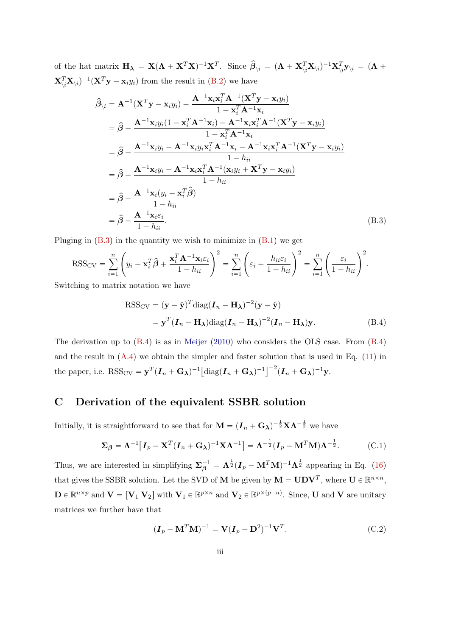of the hat matrix  $\mathbf{H}_{\boldsymbol{\lambda}} = \mathbf{X}(\boldsymbol{\Lambda} + \mathbf{X}^T\mathbf{X})^{-1}\mathbf{X}^T$ . Since  $\hat{\boldsymbol{\beta}}_{\backslash i} = (\boldsymbol{\Lambda} + \mathbf{X}_{\backslash i}^T\mathbf{X}_{\backslash i})^{-1}\mathbf{X}_{\backslash i}^T\mathbf{y}_{\backslash i} = (\boldsymbol{\Lambda} + \mathbf{X}_{\backslash i}^T\mathbf{X}_{\backslash i})^{-1}\mathbf{X}_{\backslash i}^T\mathbf{y}_{\backslash i}$  $\mathbf{X}_{\langle i}^T \mathbf{X}_{\langle i \rangle}$ <sup>-1</sup>( $\mathbf{X}^T \mathbf{y} - \mathbf{x}_i y_i$ ) from the result in [\(B.2\)](#page-25-2) we have

$$
\hat{\beta}_{\backslash i} = \mathbf{A}^{-1}(\mathbf{X}^{T}\mathbf{y} - \mathbf{x}_{i}y_{i}) + \frac{\mathbf{A}^{-1}\mathbf{x}_{i}\mathbf{x}_{i}^{T}\mathbf{A}^{-1}(\mathbf{X}^{T}\mathbf{y} - \mathbf{x}_{i}y_{i})}{1 - \mathbf{x}_{i}^{T}\mathbf{A}^{-1}\mathbf{x}_{i}} \n= \hat{\beta} - \frac{\mathbf{A}^{-1}\mathbf{x}_{i}y_{i}(1 - \mathbf{x}_{i}^{T}\mathbf{A}^{-1}\mathbf{x}_{i}) - \mathbf{A}^{-1}\mathbf{x}_{i}\mathbf{x}_{i}^{T}\mathbf{A}^{-1}(\mathbf{X}^{T}\mathbf{y} - \mathbf{x}_{i}y_{i})}{1 - \mathbf{x}_{i}^{T}\mathbf{A}^{-1}\mathbf{x}_{i}} \n= \hat{\beta} - \frac{\mathbf{A}^{-1}\mathbf{x}_{i}y_{i} - \mathbf{A}^{-1}\mathbf{x}_{i}y_{i}\mathbf{x}_{i}^{T}\mathbf{A}^{-1}\mathbf{x}_{i} - \mathbf{A}^{-1}\mathbf{x}_{i}\mathbf{x}_{i}^{T}\mathbf{A}^{-1}(\mathbf{X}^{T}\mathbf{y} - \mathbf{x}_{i}y_{i})}{1 - h_{ii}} \n= \hat{\beta} - \frac{\mathbf{A}^{-1}\mathbf{x}_{i}y_{i} - \mathbf{A}^{-1}\mathbf{x}_{i}\mathbf{x}_{i}^{T}\mathbf{A}^{-1}(\mathbf{x}_{i}y_{i} + \mathbf{X}^{T}\mathbf{y} - \mathbf{x}_{i}y_{i})}{1 - h_{ii}} \n= \hat{\beta} - \frac{\mathbf{A}^{-1}\mathbf{x}_{i}(y_{i} - \mathbf{x}_{i}^{T}\hat{\beta})}{1 - h_{ii}} \n= \hat{\beta} - \frac{\mathbf{A}^{-1}\mathbf{x}_{i}\hat{\epsilon}_{i}}{1 - h_{ii}}.
$$
\n(B.3)

Pluging in  $(B.3)$  in the quantity we wish to minimize in  $(B.1)$  we get

$$
\text{RSS}_{\text{CV}} = \sum_{i=1}^{n} \left( y_i - \mathbf{x}_i^T \hat{\boldsymbol{\beta}} + \frac{\mathbf{x}_i^T \mathbf{A}^{-1} \mathbf{x}_i \varepsilon_i}{1 - h_{ii}} \right)^2 = \sum_{i=1}^{n} \left( \varepsilon_i + \frac{h_{ii} \varepsilon_i}{1 - h_{ii}} \right)^2 = \sum_{i=1}^{n} \left( \frac{\varepsilon_i}{1 - h_{ii}} \right)^2.
$$

Switching to matrix notation we have

<span id="page-26-2"></span><span id="page-26-1"></span>
$$
RSS_{CV} = (\mathbf{y} - \hat{\mathbf{y}})^{T} \text{diag}(\mathbf{I}_{n} - \mathbf{H}_{\lambda})^{-2} (\mathbf{y} - \hat{\mathbf{y}})
$$
  
=  $\mathbf{y}^{T} (\mathbf{I}_{n} - \mathbf{H}_{\lambda}) \text{diag}(\mathbf{I}_{n} - \mathbf{H}_{\lambda})^{-2} (\mathbf{I}_{n} - \mathbf{H}_{\lambda}) \mathbf{y}.$  (B.4)

The derivation up to [\(B.4\)](#page-26-2) is as in [Meijer](#page-22-14) [\(2010\)](#page-22-14) who considers the OLS case. From [\(B.4\)](#page-26-2) and the result in  $(A.4)$  we obtain the simpler and faster solution that is used in Eq.  $(11)$  in the paper, i.e.  $RSS_{CV} = \mathbf{y}^T (\mathbf{I}_n + \mathbf{G}_{\lambda})^{-1}$  $\left[ \mathrm{diag}(\boldsymbol{I}_n + \mathbf{G}_{\boldsymbol{\lambda}})^{-1} \right]^{-2} (\boldsymbol{I}_n + \mathbf{G}_{\boldsymbol{\lambda}})^{-1} \mathbf{y}.$ 

## <span id="page-26-0"></span>C Derivation of the equivalent SSBR solution

Initially, it is straightforward to see that for  $\mathbf{M} = (\mathbf{I}_n + \mathbf{G}_{\boldsymbol{\lambda}})^{-\frac{1}{2}} \mathbf{X} \boldsymbol{\Lambda}^{-\frac{1}{2}}$  we have

<span id="page-26-3"></span>
$$
\Sigma_{\beta} = \Lambda^{-1} \big[ I_p - \mathbf{X}^T (I_n + \mathbf{G}_{\lambda})^{-1} \mathbf{X} \Lambda^{-1} \big] = \Lambda^{-\frac{1}{2}} (I_p - \mathbf{M}^T \mathbf{M}) \Lambda^{-\frac{1}{2}}.
$$
 (C.1)

Thus, we are interested in simplifying  $\Sigma_{\beta}^{-1} = \Lambda^{\frac{1}{2}} (I_p - M^T M)^{-1} \Lambda^{\frac{1}{2}}$  appearing in Eq. [\(16\)](#page-7-1) that gives the SSBR solution. Let the SVD of **M** be given by  $M = UDV^T$ , where  $U \in \mathbb{R}^{n \times n}$ ,  $\mathbf{D} \in \mathbb{R}^{n \times p}$  and  $\mathbf{V} = [\mathbf{V}_1 \ \mathbf{V}_2]$  with  $\mathbf{V}_1 \in \mathbb{R}^{p \times n}$  and  $\mathbf{V}_2 \in \mathbb{R}^{p \times (p-n)}$ . Since, U and V are unitary matrices we further have that

<span id="page-26-4"></span>
$$
(\boldsymbol{I}_p - \mathbf{M}^T \mathbf{M})^{-1} = \mathbf{V} (\boldsymbol{I}_p - \mathbf{D}^2)^{-1} \mathbf{V}^T.
$$
 (C.2)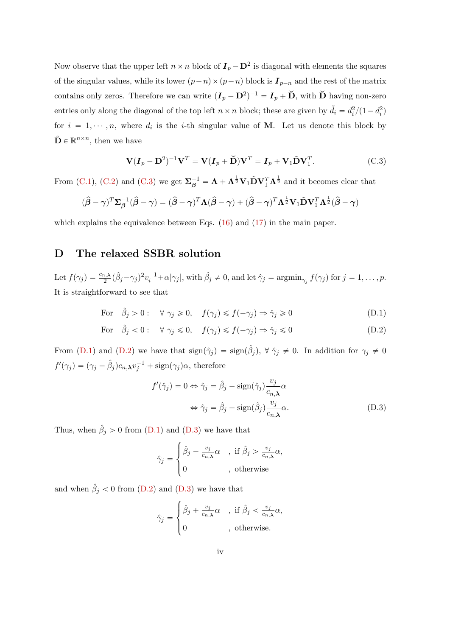Now observe that the upper left  $n \times n$  block of  $I_p - D^2$  is diagonal with elements the squares of the singular values, while its lower  $(p-n) \times (p-n)$  block is  $I_{p-n}$  and the rest of the matrix contains only zeros. Therefore we can write  $(I_p - D^2)^{-1} = I_p + \check{D}$ , with  $\check{D}$  having non-zero entries only along the diagonal of the top left  $n \times n$  block; these are given by  $\tilde{d}_i = d_i^2/(1 - d_i^2)$ for  $i = 1, \dots, n$ , where  $d_i$  is the *i*-th singular value of **M**. Let us denote this block by  $\tilde{\mathbf{D}} \in \mathbb{R}^{n \times n}$ , then we have

<span id="page-27-1"></span>
$$
\mathbf{V}(\mathbf{I}_p - \mathbf{D}^2)^{-1}\mathbf{V}^T = \mathbf{V}(\mathbf{I}_p + \check{\mathbf{D}})\mathbf{V}^T = \mathbf{I}_p + \mathbf{V}_1\tilde{\mathbf{D}}\mathbf{V}_1^T.
$$
 (C.3)

From [\(C.1\)](#page-26-3), [\(C.2\)](#page-26-4) and [\(C.3\)](#page-27-1) we get  $\Sigma_{\beta}^{-1} = \Lambda + \Lambda^{\frac{1}{2}} V_1 \tilde{D} V_1^T \Lambda^{\frac{1}{2}}$  and it becomes clear that

$$
(\hat{\boldsymbol{\beta}} - \boldsymbol{\gamma})^T \boldsymbol{\Sigma}_{\boldsymbol{\beta}}^{-1} (\hat{\boldsymbol{\beta}} - \boldsymbol{\gamma}) = (\hat{\boldsymbol{\beta}} - \boldsymbol{\gamma})^T \boldsymbol{\Lambda} (\hat{\boldsymbol{\beta}} - \boldsymbol{\gamma}) + (\hat{\boldsymbol{\beta}} - \boldsymbol{\gamma})^T \boldsymbol{\Lambda}^{\frac{1}{2}} \mathbf{V}_1 \tilde{\mathbf{D}} \mathbf{V}_1^T \boldsymbol{\Lambda}^{\frac{1}{2}} (\hat{\boldsymbol{\beta}} - \boldsymbol{\gamma})
$$

which explains the equivalence between Eqs.  $(16)$  and  $(17)$  in the main paper.

## <span id="page-27-0"></span>D The relaxed SSBR solution

Let  $f(\gamma_j) = \frac{c_{n,\lambda}}{2} (\hat{\beta}_j - \gamma_j)^2 v_i^{-1} + \alpha |\gamma_j|$ , with  $\hat{\beta}_j \neq 0$ , and let  $\hat{\gamma}_j = \operatorname{argmin}_{\gamma_j} f(\gamma_j)$  for  $j = 1, \ldots, p$ . It is straightforward to see that

For 
$$
\hat{\beta}_j > 0
$$
:  $\forall \gamma_j \geq 0, \quad f(\gamma_j) \leq f(-\gamma_j) \Rightarrow \hat{\gamma}_j \geq 0$  (D.1)

For 
$$
\hat{\beta}_j < 0
$$
:  $\forall \gamma_j \leq 0, \quad f(\gamma_j) \leq f(-\gamma_j) \Rightarrow \hat{\gamma}_j \leq 0$  (D.2)

From [\(D.1\)](#page-27-2) and [\(D.2\)](#page-27-3) we have that  $sign(\hat{\gamma}_j) = sign(\hat{\beta}_j)$ ,  $\forall \hat{\gamma}_j \neq 0$ . In addition for  $\gamma_j \neq 0$  $f'(\gamma_j) = (\gamma_j - \hat{\beta}_j)c_{n,\boldsymbol{\lambda}}v_j^{-1} + \text{sign}(\gamma_j)\alpha$ , therefore

<span id="page-27-3"></span><span id="page-27-2"></span>
$$
f'(\hat{\gamma}_j) = 0 \Leftrightarrow \hat{\gamma}_j = \hat{\beta}_j - \text{sign}(\hat{\gamma}_j) \frac{v_j}{c_{n,\lambda}} \alpha
$$
  

$$
\Leftrightarrow \hat{\gamma}_j = \hat{\beta}_j - \text{sign}(\hat{\beta}_j) \frac{v_j}{c_{n,\lambda}} \alpha.
$$
 (D.3)

Thus, when  $\hat{\beta}_j > 0$  from [\(D.1\)](#page-27-2) and [\(D.3\)](#page-27-4) we have that

<span id="page-27-4"></span>
$$
\hat{\gamma}_j = \begin{cases} \hat{\beta}_j - \frac{v_j}{c_{n,\lambda}} \alpha & , \text{ if } \hat{\beta}_j > \frac{v_j}{c_{n,\lambda}} \alpha, \\ 0 & , \text{ otherwise} \end{cases}
$$

and when  $\hat{\beta}_j < 0$  from [\(D.2\)](#page-27-3) and [\(D.3\)](#page-27-4) we have that \$

$$
\hat{\gamma}_j = \begin{cases} \hat{\beta}_j + \frac{v_j}{c_{n,\lambda}} \alpha & , \text{ if } \hat{\beta}_j < \frac{v_j}{c_{n,\lambda}} \alpha, \\ 0 & , \text{ otherwise.} \end{cases}
$$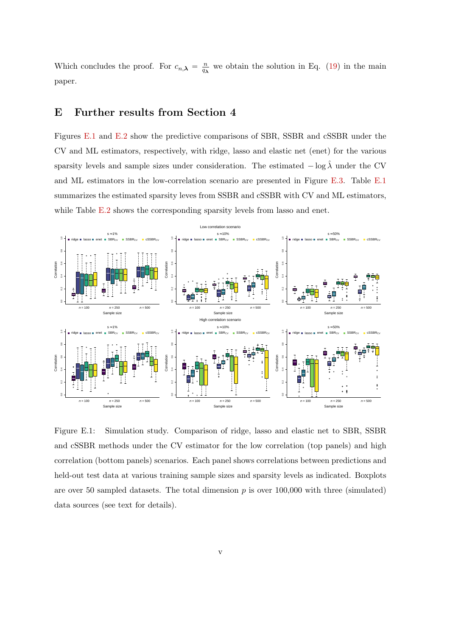Which concludes the proof. For  $c_{n,\lambda} = \frac{n}{q}$  $\frac{n}{q_{\lambda}}$  we obtain the solution in Eq. [\(19\)](#page-8-2) in the main paper.

## <span id="page-28-0"></span>E Further results from Section 4

Figures [E.1](#page-28-1) and [E.2](#page-29-0) show the predictive comparisons of SBR, SSBR and cSSBR under the CV and ML estimators, respectively, with ridge, lasso and elastic net (enet) for the various sparsity levels and sample sizes under consideration. The estimated  $-\log \hat{\lambda}$  under the CV and ML estimators in the low-correlation scenario are presented in Figure [E.3.](#page-30-0) Table [E.1](#page-31-0) summarizes the estimated sparsity leves from SSBR and cSSBR with CV and ML estimators, while Table [E.2](#page-31-1) shows the corresponding sparsity levels from lasso and enet.



<span id="page-28-1"></span>Figure E.1: Simulation study. Comparison of ridge, lasso and elastic net to SBR, SSBR and cSSBR methods under the CV estimator for the low correlation (top panels) and high correlation (bottom panels) scenarios. Each panel shows correlations between predictions and held-out test data at various training sample sizes and sparsity levels as indicated. Boxplots are over 50 sampled datasets. The total dimension  $p$  is over 100,000 with three (simulated) data sources (see text for details).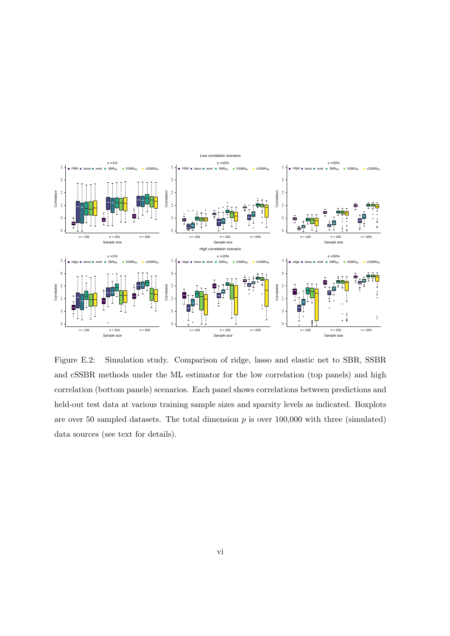

<span id="page-29-0"></span>Figure E.2: Simulation study. Comparison of ridge, lasso and elastic net to SBR, SSBR and cSSBR methods under the ML estimator for the low correlation (top panels) and high correlation (bottom panels) scenarios. Each panel shows correlations between predictions and held-out test data at various training sample sizes and sparsity levels as indicated. Boxplots are over 50 sampled datasets. The total dimension  $p$  is over 100,000 with three (simulated) data sources (see text for details).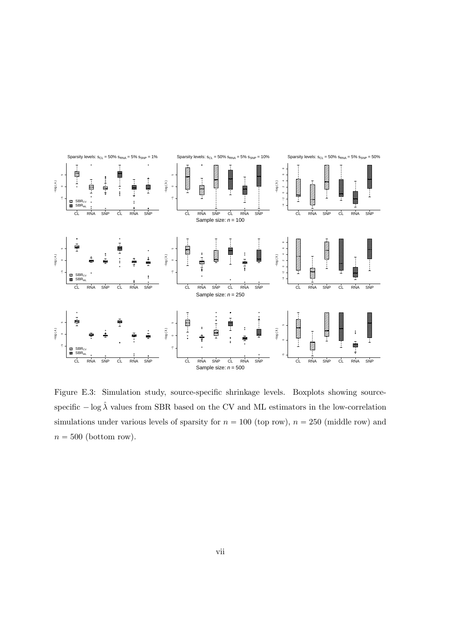

<span id="page-30-0"></span>Figure E.3: Simulation study, source-specific shrinkage levels. Boxplots showing sourcespecific  $-\log \hat{\lambda}$  values from SBR based on the CV and ML estimators in the low-correlation simulations under various levels of sparsity for  $n = 100$  (top row),  $n = 250$  (middle row) and  $n = 500$  (bottom row).